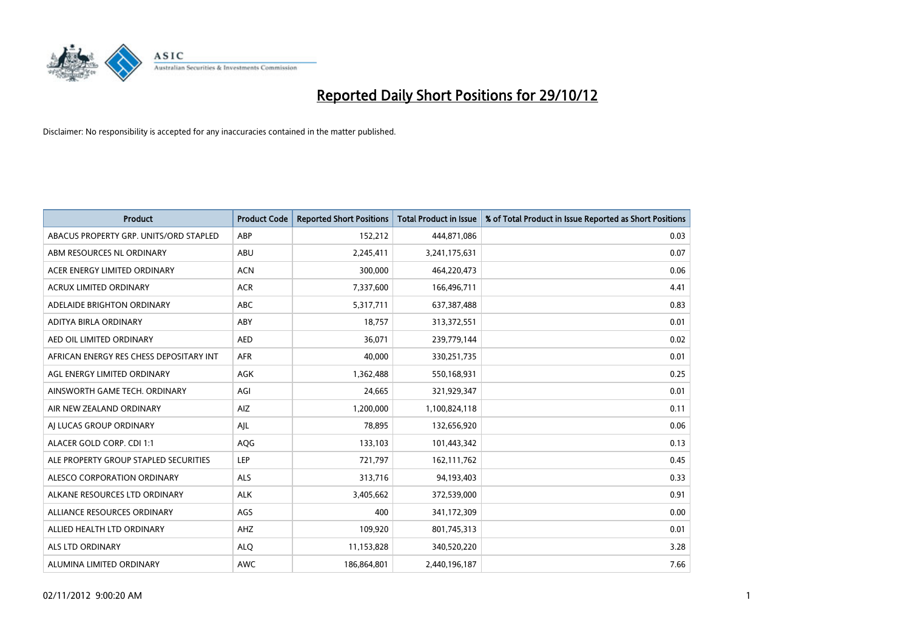

| <b>Product</b>                          | <b>Product Code</b> | <b>Reported Short Positions</b> | <b>Total Product in Issue</b> | % of Total Product in Issue Reported as Short Positions |
|-----------------------------------------|---------------------|---------------------------------|-------------------------------|---------------------------------------------------------|
| ABACUS PROPERTY GRP. UNITS/ORD STAPLED  | ABP                 | 152,212                         | 444,871,086                   | 0.03                                                    |
| ABM RESOURCES NL ORDINARY               | ABU                 | 2,245,411                       | 3,241,175,631                 | 0.07                                                    |
| ACER ENERGY LIMITED ORDINARY            | <b>ACN</b>          | 300,000                         | 464,220,473                   | 0.06                                                    |
| ACRUX LIMITED ORDINARY                  | <b>ACR</b>          | 7,337,600                       | 166,496,711                   | 4.41                                                    |
| ADELAIDE BRIGHTON ORDINARY              | <b>ABC</b>          | 5,317,711                       | 637, 387, 488                 | 0.83                                                    |
| ADITYA BIRLA ORDINARY                   | ABY                 | 18,757                          | 313,372,551                   | 0.01                                                    |
| AED OIL LIMITED ORDINARY                | <b>AED</b>          | 36,071                          | 239,779,144                   | 0.02                                                    |
| AFRICAN ENERGY RES CHESS DEPOSITARY INT | <b>AFR</b>          | 40.000                          | 330,251,735                   | 0.01                                                    |
| AGL ENERGY LIMITED ORDINARY             | AGK                 | 1,362,488                       | 550,168,931                   | 0.25                                                    |
| AINSWORTH GAME TECH. ORDINARY           | AGI                 | 24,665                          | 321,929,347                   | 0.01                                                    |
| AIR NEW ZEALAND ORDINARY                | AIZ                 | 1,200,000                       | 1,100,824,118                 | 0.11                                                    |
| AI LUCAS GROUP ORDINARY                 | AJL                 | 78,895                          | 132,656,920                   | 0.06                                                    |
| ALACER GOLD CORP. CDI 1:1               | AQG                 | 133,103                         | 101,443,342                   | 0.13                                                    |
| ALE PROPERTY GROUP STAPLED SECURITIES   | LEP                 | 721,797                         | 162,111,762                   | 0.45                                                    |
| ALESCO CORPORATION ORDINARY             | <b>ALS</b>          | 313,716                         | 94,193,403                    | 0.33                                                    |
| ALKANE RESOURCES LTD ORDINARY           | <b>ALK</b>          | 3,405,662                       | 372,539,000                   | 0.91                                                    |
| ALLIANCE RESOURCES ORDINARY             | AGS                 | 400                             | 341,172,309                   | 0.00                                                    |
| ALLIED HEALTH LTD ORDINARY              | AHZ                 | 109,920                         | 801,745,313                   | 0.01                                                    |
| <b>ALS LTD ORDINARY</b>                 | <b>ALO</b>          | 11,153,828                      | 340,520,220                   | 3.28                                                    |
| ALUMINA LIMITED ORDINARY                | <b>AWC</b>          | 186,864,801                     | 2,440,196,187                 | 7.66                                                    |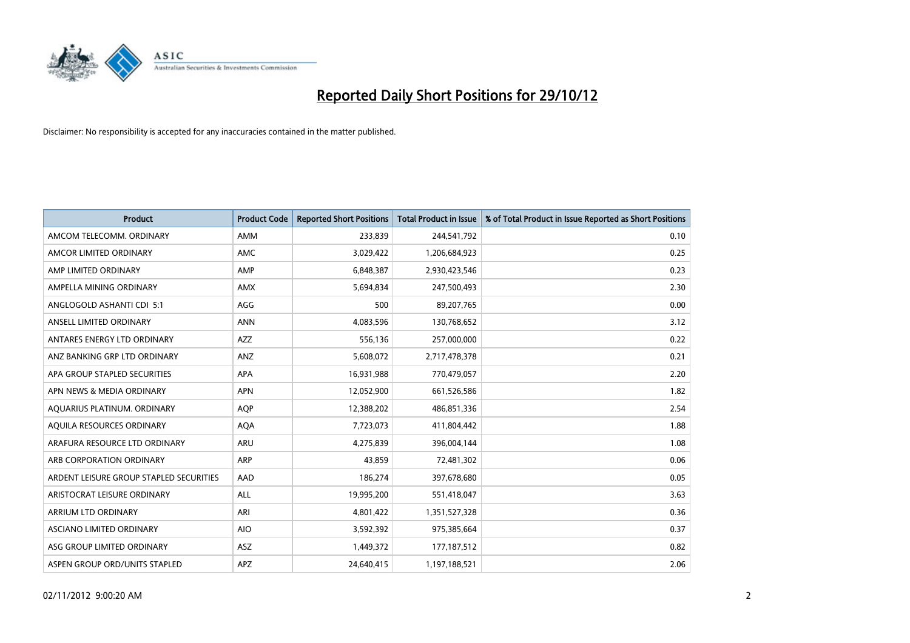

| <b>Product</b>                          | <b>Product Code</b> | <b>Reported Short Positions</b> | <b>Total Product in Issue</b> | % of Total Product in Issue Reported as Short Positions |
|-----------------------------------------|---------------------|---------------------------------|-------------------------------|---------------------------------------------------------|
| AMCOM TELECOMM, ORDINARY                | <b>AMM</b>          | 233,839                         | 244,541,792                   | 0.10                                                    |
| AMCOR LIMITED ORDINARY                  | <b>AMC</b>          | 3,029,422                       | 1,206,684,923                 | 0.25                                                    |
| AMP LIMITED ORDINARY                    | AMP                 | 6,848,387                       | 2,930,423,546                 | 0.23                                                    |
| AMPELLA MINING ORDINARY                 | <b>AMX</b>          | 5,694,834                       | 247,500,493                   | 2.30                                                    |
| ANGLOGOLD ASHANTI CDI 5:1               | AGG                 | 500                             | 89,207,765                    | 0.00                                                    |
| ANSELL LIMITED ORDINARY                 | <b>ANN</b>          | 4,083,596                       | 130,768,652                   | 3.12                                                    |
| ANTARES ENERGY LTD ORDINARY             | <b>AZZ</b>          | 556,136                         | 257,000,000                   | 0.22                                                    |
| ANZ BANKING GRP LTD ORDINARY            | ANZ                 | 5,608,072                       | 2,717,478,378                 | 0.21                                                    |
| APA GROUP STAPLED SECURITIES            | <b>APA</b>          | 16,931,988                      | 770,479,057                   | 2.20                                                    |
| APN NEWS & MEDIA ORDINARY               | <b>APN</b>          | 12,052,900                      | 661,526,586                   | 1.82                                                    |
| AQUARIUS PLATINUM. ORDINARY             | <b>AOP</b>          | 12,388,202                      | 486,851,336                   | 2.54                                                    |
| AQUILA RESOURCES ORDINARY               | <b>AQA</b>          | 7,723,073                       | 411,804,442                   | 1.88                                                    |
| ARAFURA RESOURCE LTD ORDINARY           | ARU                 | 4,275,839                       | 396,004,144                   | 1.08                                                    |
| ARB CORPORATION ORDINARY                | <b>ARP</b>          | 43,859                          | 72,481,302                    | 0.06                                                    |
| ARDENT LEISURE GROUP STAPLED SECURITIES | AAD                 | 186,274                         | 397,678,680                   | 0.05                                                    |
| ARISTOCRAT LEISURE ORDINARY             | ALL                 | 19,995,200                      | 551,418,047                   | 3.63                                                    |
| ARRIUM LTD ORDINARY                     | ARI                 | 4,801,422                       | 1,351,527,328                 | 0.36                                                    |
| ASCIANO LIMITED ORDINARY                | <b>AIO</b>          | 3,592,392                       | 975,385,664                   | 0.37                                                    |
| ASG GROUP LIMITED ORDINARY              | <b>ASZ</b>          | 1,449,372                       | 177, 187, 512                 | 0.82                                                    |
| ASPEN GROUP ORD/UNITS STAPLED           | APZ                 | 24,640,415                      | 1,197,188,521                 | 2.06                                                    |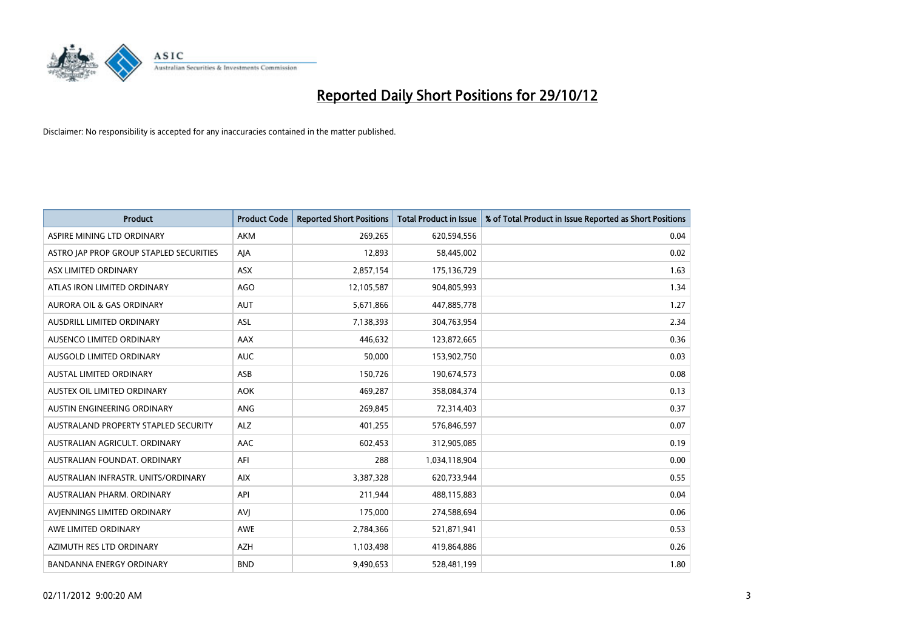

| <b>Product</b>                          | <b>Product Code</b> | <b>Reported Short Positions</b> | <b>Total Product in Issue</b> | % of Total Product in Issue Reported as Short Positions |
|-----------------------------------------|---------------------|---------------------------------|-------------------------------|---------------------------------------------------------|
| ASPIRE MINING LTD ORDINARY              | <b>AKM</b>          | 269,265                         | 620,594,556                   | 0.04                                                    |
| ASTRO JAP PROP GROUP STAPLED SECURITIES | AJA                 | 12,893                          | 58,445,002                    | 0.02                                                    |
| ASX LIMITED ORDINARY                    | <b>ASX</b>          | 2,857,154                       | 175,136,729                   | 1.63                                                    |
| ATLAS IRON LIMITED ORDINARY             | AGO                 | 12,105,587                      | 904,805,993                   | 1.34                                                    |
| <b>AURORA OIL &amp; GAS ORDINARY</b>    | <b>AUT</b>          | 5,671,866                       | 447,885,778                   | 1.27                                                    |
| <b>AUSDRILL LIMITED ORDINARY</b>        | <b>ASL</b>          | 7,138,393                       | 304,763,954                   | 2.34                                                    |
| AUSENCO LIMITED ORDINARY                | AAX                 | 446.632                         | 123,872,665                   | 0.36                                                    |
| <b>AUSGOLD LIMITED ORDINARY</b>         | <b>AUC</b>          | 50,000                          | 153,902,750                   | 0.03                                                    |
| AUSTAL LIMITED ORDINARY                 | ASB                 | 150,726                         | 190,674,573                   | 0.08                                                    |
| AUSTEX OIL LIMITED ORDINARY             | <b>AOK</b>          | 469,287                         | 358,084,374                   | 0.13                                                    |
| AUSTIN ENGINEERING ORDINARY             | <b>ANG</b>          | 269,845                         | 72,314,403                    | 0.37                                                    |
| AUSTRALAND PROPERTY STAPLED SECURITY    | <b>ALZ</b>          | 401,255                         | 576,846,597                   | 0.07                                                    |
| AUSTRALIAN AGRICULT. ORDINARY           | AAC                 | 602,453                         | 312,905,085                   | 0.19                                                    |
| AUSTRALIAN FOUNDAT, ORDINARY            | AFI                 | 288                             | 1,034,118,904                 | 0.00                                                    |
| AUSTRALIAN INFRASTR, UNITS/ORDINARY     | <b>AIX</b>          | 3,387,328                       | 620,733,944                   | 0.55                                                    |
| AUSTRALIAN PHARM. ORDINARY              | API                 | 211,944                         | 488,115,883                   | 0.04                                                    |
| AVIENNINGS LIMITED ORDINARY             | AVI                 | 175,000                         | 274,588,694                   | 0.06                                                    |
| AWE LIMITED ORDINARY                    | <b>AWE</b>          | 2,784,366                       | 521,871,941                   | 0.53                                                    |
| AZIMUTH RES LTD ORDINARY                | <b>AZH</b>          | 1,103,498                       | 419,864,886                   | 0.26                                                    |
| <b>BANDANNA ENERGY ORDINARY</b>         | <b>BND</b>          | 9,490,653                       | 528,481,199                   | 1.80                                                    |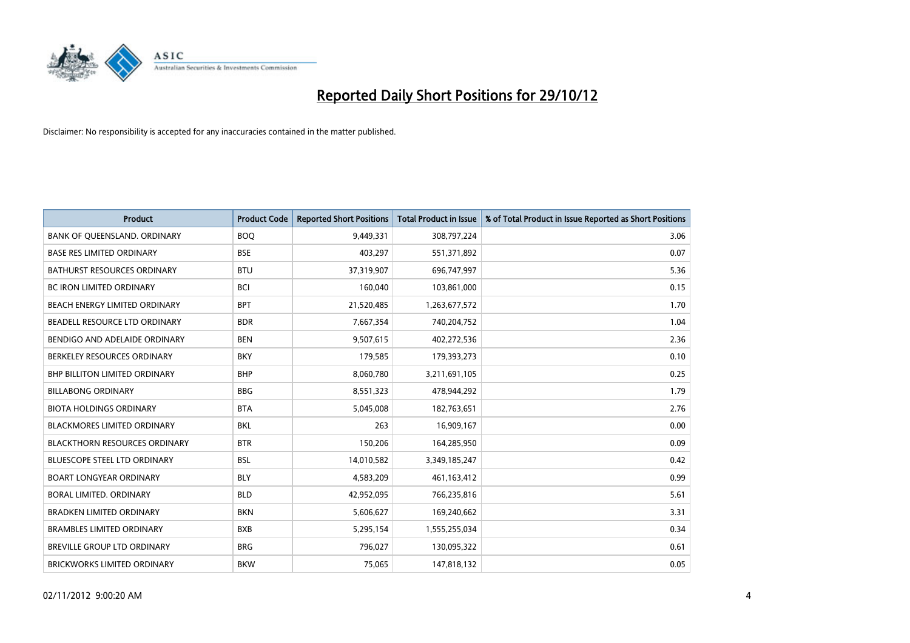

| <b>Product</b>                       | <b>Product Code</b> | <b>Reported Short Positions</b> | <b>Total Product in Issue</b> | % of Total Product in Issue Reported as Short Positions |
|--------------------------------------|---------------------|---------------------------------|-------------------------------|---------------------------------------------------------|
| BANK OF QUEENSLAND. ORDINARY         | <b>BOO</b>          | 9,449,331                       | 308,797,224                   | 3.06                                                    |
| <b>BASE RES LIMITED ORDINARY</b>     | <b>BSE</b>          | 403,297                         | 551,371,892                   | 0.07                                                    |
| <b>BATHURST RESOURCES ORDINARY</b>   | <b>BTU</b>          | 37,319,907                      | 696,747,997                   | 5.36                                                    |
| BC IRON LIMITED ORDINARY             | <b>BCI</b>          | 160,040                         | 103,861,000                   | 0.15                                                    |
| BEACH ENERGY LIMITED ORDINARY        | <b>BPT</b>          | 21,520,485                      | 1,263,677,572                 | 1.70                                                    |
| BEADELL RESOURCE LTD ORDINARY        | <b>BDR</b>          | 7,667,354                       | 740,204,752                   | 1.04                                                    |
| BENDIGO AND ADELAIDE ORDINARY        | <b>BEN</b>          | 9,507,615                       | 402,272,536                   | 2.36                                                    |
| BERKELEY RESOURCES ORDINARY          | <b>BKY</b>          | 179,585                         | 179,393,273                   | 0.10                                                    |
| <b>BHP BILLITON LIMITED ORDINARY</b> | <b>BHP</b>          | 8,060,780                       | 3,211,691,105                 | 0.25                                                    |
| <b>BILLABONG ORDINARY</b>            | <b>BBG</b>          | 8,551,323                       | 478,944,292                   | 1.79                                                    |
| <b>BIOTA HOLDINGS ORDINARY</b>       | <b>BTA</b>          | 5,045,008                       | 182,763,651                   | 2.76                                                    |
| <b>BLACKMORES LIMITED ORDINARY</b>   | <b>BKL</b>          | 263                             | 16,909,167                    | 0.00                                                    |
| <b>BLACKTHORN RESOURCES ORDINARY</b> | <b>BTR</b>          | 150,206                         | 164,285,950                   | 0.09                                                    |
| BLUESCOPE STEEL LTD ORDINARY         | <b>BSL</b>          | 14,010,582                      | 3,349,185,247                 | 0.42                                                    |
| <b>BOART LONGYEAR ORDINARY</b>       | <b>BLY</b>          | 4,583,209                       | 461,163,412                   | 0.99                                                    |
| BORAL LIMITED. ORDINARY              | <b>BLD</b>          | 42,952,095                      | 766,235,816                   | 5.61                                                    |
| <b>BRADKEN LIMITED ORDINARY</b>      | <b>BKN</b>          | 5,606,627                       | 169,240,662                   | 3.31                                                    |
| <b>BRAMBLES LIMITED ORDINARY</b>     | <b>BXB</b>          | 5,295,154                       | 1,555,255,034                 | 0.34                                                    |
| <b>BREVILLE GROUP LTD ORDINARY</b>   | <b>BRG</b>          | 796,027                         | 130,095,322                   | 0.61                                                    |
| BRICKWORKS LIMITED ORDINARY          | <b>BKW</b>          | 75,065                          | 147,818,132                   | 0.05                                                    |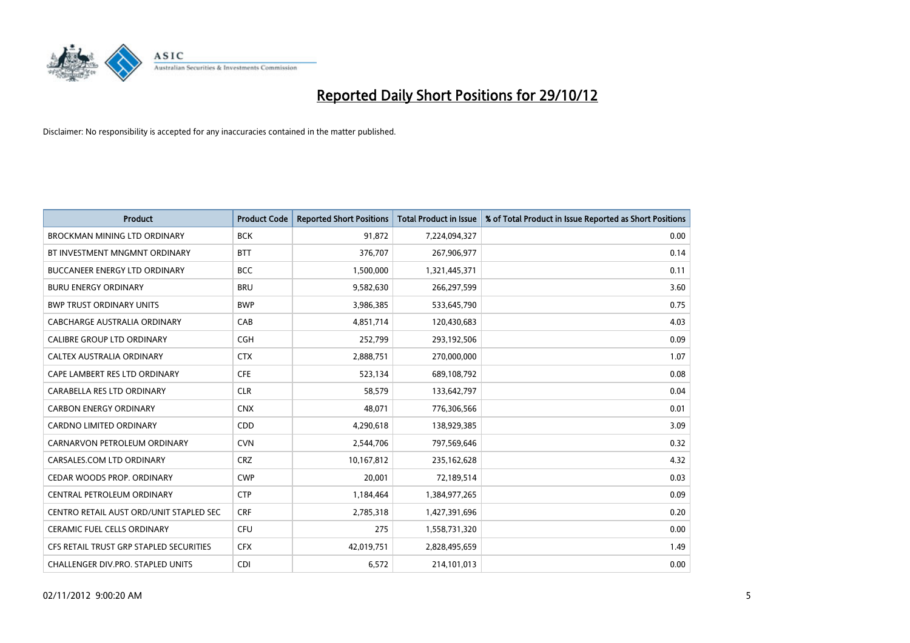

| <b>Product</b>                          | <b>Product Code</b> | <b>Reported Short Positions</b> | <b>Total Product in Issue</b> | % of Total Product in Issue Reported as Short Positions |
|-----------------------------------------|---------------------|---------------------------------|-------------------------------|---------------------------------------------------------|
| <b>BROCKMAN MINING LTD ORDINARY</b>     | <b>BCK</b>          | 91,872                          | 7,224,094,327                 | 0.00                                                    |
| BT INVESTMENT MNGMNT ORDINARY           | <b>BTT</b>          | 376,707                         | 267,906,977                   | 0.14                                                    |
| <b>BUCCANEER ENERGY LTD ORDINARY</b>    | <b>BCC</b>          | 1,500,000                       | 1,321,445,371                 | 0.11                                                    |
| <b>BURU ENERGY ORDINARY</b>             | <b>BRU</b>          | 9,582,630                       | 266,297,599                   | 3.60                                                    |
| <b>BWP TRUST ORDINARY UNITS</b>         | <b>BWP</b>          | 3,986,385                       | 533,645,790                   | 0.75                                                    |
| CABCHARGE AUSTRALIA ORDINARY            | CAB                 | 4,851,714                       | 120,430,683                   | 4.03                                                    |
| <b>CALIBRE GROUP LTD ORDINARY</b>       | <b>CGH</b>          | 252,799                         | 293,192,506                   | 0.09                                                    |
| CALTEX AUSTRALIA ORDINARY               | <b>CTX</b>          | 2,888,751                       | 270,000,000                   | 1.07                                                    |
| CAPE LAMBERT RES LTD ORDINARY           | <b>CFE</b>          | 523,134                         | 689,108,792                   | 0.08                                                    |
| CARABELLA RES LTD ORDINARY              | <b>CLR</b>          | 58,579                          | 133,642,797                   | 0.04                                                    |
| <b>CARBON ENERGY ORDINARY</b>           | <b>CNX</b>          | 48,071                          | 776,306,566                   | 0.01                                                    |
| <b>CARDNO LIMITED ORDINARY</b>          | <b>CDD</b>          | 4,290,618                       | 138,929,385                   | 3.09                                                    |
| CARNARVON PETROLEUM ORDINARY            | <b>CVN</b>          | 2,544,706                       | 797,569,646                   | 0.32                                                    |
| CARSALES.COM LTD ORDINARY               | <b>CRZ</b>          | 10,167,812                      | 235,162,628                   | 4.32                                                    |
| CEDAR WOODS PROP. ORDINARY              | <b>CWP</b>          | 20,001                          | 72,189,514                    | 0.03                                                    |
| CENTRAL PETROLEUM ORDINARY              | <b>CTP</b>          | 1,184,464                       | 1,384,977,265                 | 0.09                                                    |
| CENTRO RETAIL AUST ORD/UNIT STAPLED SEC | <b>CRF</b>          | 2,785,318                       | 1,427,391,696                 | 0.20                                                    |
| <b>CERAMIC FUEL CELLS ORDINARY</b>      | CFU                 | 275                             | 1,558,731,320                 | 0.00                                                    |
| CFS RETAIL TRUST GRP STAPLED SECURITIES | <b>CFX</b>          | 42,019,751                      | 2,828,495,659                 | 1.49                                                    |
| CHALLENGER DIV.PRO. STAPLED UNITS       | <b>CDI</b>          | 6,572                           | 214,101,013                   | 0.00                                                    |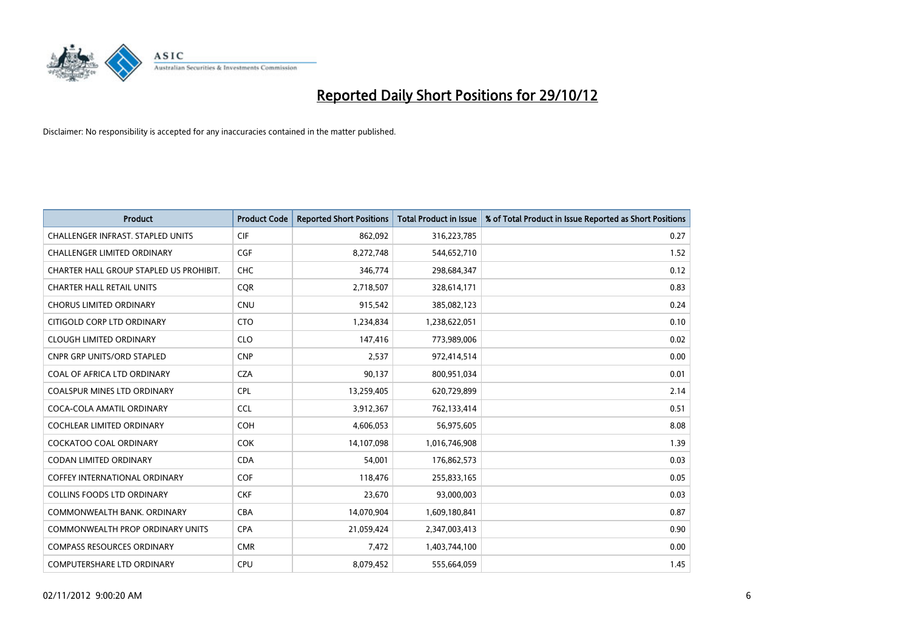

| <b>Product</b>                           | <b>Product Code</b> | <b>Reported Short Positions</b> | <b>Total Product in Issue</b> | % of Total Product in Issue Reported as Short Positions |
|------------------------------------------|---------------------|---------------------------------|-------------------------------|---------------------------------------------------------|
| <b>CHALLENGER INFRAST, STAPLED UNITS</b> | <b>CIF</b>          | 862,092                         | 316,223,785                   | 0.27                                                    |
| CHALLENGER LIMITED ORDINARY              | <b>CGF</b>          | 8,272,748                       | 544,652,710                   | 1.52                                                    |
| CHARTER HALL GROUP STAPLED US PROHIBIT.  | <b>CHC</b>          | 346,774                         | 298,684,347                   | 0.12                                                    |
| <b>CHARTER HALL RETAIL UNITS</b>         | <b>CQR</b>          | 2,718,507                       | 328,614,171                   | 0.83                                                    |
| <b>CHORUS LIMITED ORDINARY</b>           | <b>CNU</b>          | 915,542                         | 385,082,123                   | 0.24                                                    |
| CITIGOLD CORP LTD ORDINARY               | <b>CTO</b>          | 1,234,834                       | 1,238,622,051                 | 0.10                                                    |
| <b>CLOUGH LIMITED ORDINARY</b>           | <b>CLO</b>          | 147,416                         | 773,989,006                   | 0.02                                                    |
| <b>CNPR GRP UNITS/ORD STAPLED</b>        | <b>CNP</b>          | 2,537                           | 972,414,514                   | 0.00                                                    |
| COAL OF AFRICA LTD ORDINARY              | <b>CZA</b>          | 90,137                          | 800,951,034                   | 0.01                                                    |
| <b>COALSPUR MINES LTD ORDINARY</b>       | <b>CPL</b>          | 13,259,405                      | 620,729,899                   | 2.14                                                    |
| COCA-COLA AMATIL ORDINARY                | <b>CCL</b>          | 3,912,367                       | 762,133,414                   | 0.51                                                    |
| <b>COCHLEAR LIMITED ORDINARY</b>         | <b>COH</b>          | 4,606,053                       | 56,975,605                    | 8.08                                                    |
| COCKATOO COAL ORDINARY                   | <b>COK</b>          | 14,107,098                      | 1,016,746,908                 | 1.39                                                    |
| <b>CODAN LIMITED ORDINARY</b>            | <b>CDA</b>          | 54,001                          | 176,862,573                   | 0.03                                                    |
| <b>COFFEY INTERNATIONAL ORDINARY</b>     | <b>COF</b>          | 118,476                         | 255,833,165                   | 0.05                                                    |
| COLLINS FOODS LTD ORDINARY               | <b>CKF</b>          | 23,670                          | 93,000,003                    | 0.03                                                    |
| COMMONWEALTH BANK, ORDINARY              | CBA                 | 14,070,904                      | 1,609,180,841                 | 0.87                                                    |
| COMMONWEALTH PROP ORDINARY UNITS         | <b>CPA</b>          | 21,059,424                      | 2,347,003,413                 | 0.90                                                    |
| <b>COMPASS RESOURCES ORDINARY</b>        | <b>CMR</b>          | 7,472                           | 1,403,744,100                 | 0.00                                                    |
| COMPUTERSHARE LTD ORDINARY               | <b>CPU</b>          | 8,079,452                       | 555,664,059                   | 1.45                                                    |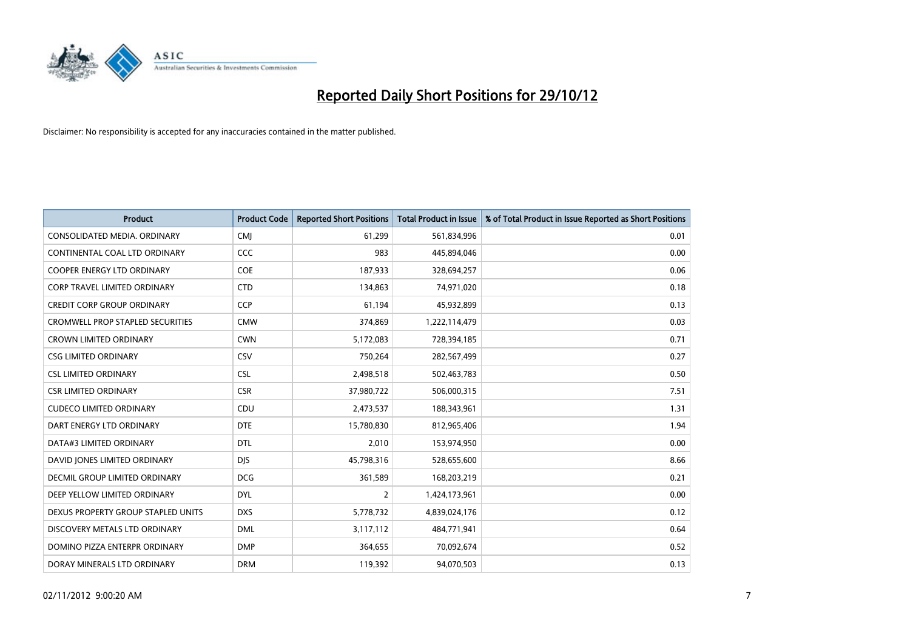

| <b>Product</b>                          | <b>Product Code</b> | <b>Reported Short Positions</b> | <b>Total Product in Issue</b> | % of Total Product in Issue Reported as Short Positions |
|-----------------------------------------|---------------------|---------------------------------|-------------------------------|---------------------------------------------------------|
| CONSOLIDATED MEDIA, ORDINARY            | <b>CMI</b>          | 61,299                          | 561,834,996                   | 0.01                                                    |
| CONTINENTAL COAL LTD ORDINARY           | CCC                 | 983                             | 445,894,046                   | 0.00                                                    |
| <b>COOPER ENERGY LTD ORDINARY</b>       | <b>COE</b>          | 187,933                         | 328,694,257                   | 0.06                                                    |
| CORP TRAVEL LIMITED ORDINARY            | <b>CTD</b>          | 134,863                         | 74,971,020                    | 0.18                                                    |
| <b>CREDIT CORP GROUP ORDINARY</b>       | <b>CCP</b>          | 61,194                          | 45,932,899                    | 0.13                                                    |
| <b>CROMWELL PROP STAPLED SECURITIES</b> | <b>CMW</b>          | 374,869                         | 1,222,114,479                 | 0.03                                                    |
| <b>CROWN LIMITED ORDINARY</b>           | <b>CWN</b>          | 5,172,083                       | 728,394,185                   | 0.71                                                    |
| <b>CSG LIMITED ORDINARY</b>             | CSV                 | 750,264                         | 282,567,499                   | 0.27                                                    |
| <b>CSL LIMITED ORDINARY</b>             | <b>CSL</b>          | 2,498,518                       | 502,463,783                   | 0.50                                                    |
| <b>CSR LIMITED ORDINARY</b>             | <b>CSR</b>          | 37,980,722                      | 506,000,315                   | 7.51                                                    |
| <b>CUDECO LIMITED ORDINARY</b>          | CDU                 | 2,473,537                       | 188,343,961                   | 1.31                                                    |
| DART ENERGY LTD ORDINARY                | <b>DTE</b>          | 15,780,830                      | 812,965,406                   | 1.94                                                    |
| DATA#3 LIMITED ORDINARY                 | <b>DTL</b>          | 2,010                           | 153,974,950                   | 0.00                                                    |
| DAVID JONES LIMITED ORDINARY            | <b>DIS</b>          | 45,798,316                      | 528,655,600                   | 8.66                                                    |
| DECMIL GROUP LIMITED ORDINARY           | <b>DCG</b>          | 361,589                         | 168,203,219                   | 0.21                                                    |
| DEEP YELLOW LIMITED ORDINARY            | <b>DYL</b>          | 2                               | 1,424,173,961                 | 0.00                                                    |
| DEXUS PROPERTY GROUP STAPLED UNITS      | <b>DXS</b>          | 5,778,732                       | 4,839,024,176                 | 0.12                                                    |
| DISCOVERY METALS LTD ORDINARY           | <b>DML</b>          | 3,117,112                       | 484,771,941                   | 0.64                                                    |
| DOMINO PIZZA ENTERPR ORDINARY           | <b>DMP</b>          | 364,655                         | 70,092,674                    | 0.52                                                    |
| DORAY MINERALS LTD ORDINARY             | <b>DRM</b>          | 119,392                         | 94,070,503                    | 0.13                                                    |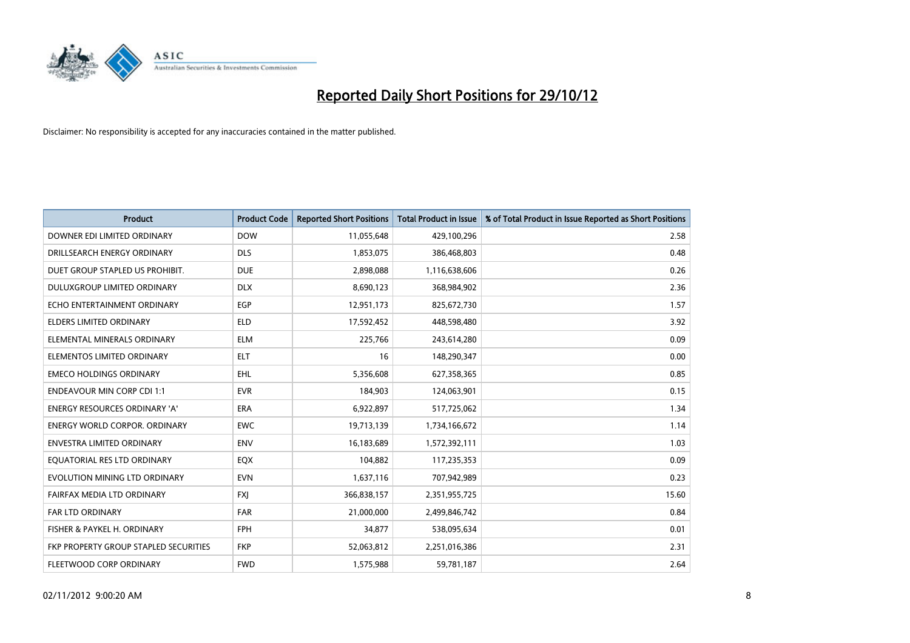

| <b>Product</b>                        | <b>Product Code</b> | <b>Reported Short Positions</b> | <b>Total Product in Issue</b> | % of Total Product in Issue Reported as Short Positions |
|---------------------------------------|---------------------|---------------------------------|-------------------------------|---------------------------------------------------------|
| DOWNER EDI LIMITED ORDINARY           | <b>DOW</b>          | 11,055,648                      | 429,100,296                   | 2.58                                                    |
| DRILLSEARCH ENERGY ORDINARY           | <b>DLS</b>          | 1,853,075                       | 386,468,803                   | 0.48                                                    |
| DUET GROUP STAPLED US PROHIBIT.       | <b>DUE</b>          | 2,898,088                       | 1,116,638,606                 | 0.26                                                    |
| DULUXGROUP LIMITED ORDINARY           | <b>DLX</b>          | 8,690,123                       | 368,984,902                   | 2.36                                                    |
| ECHO ENTERTAINMENT ORDINARY           | <b>EGP</b>          | 12,951,173                      | 825,672,730                   | 1.57                                                    |
| <b>ELDERS LIMITED ORDINARY</b>        | <b>ELD</b>          | 17,592,452                      | 448,598,480                   | 3.92                                                    |
| ELEMENTAL MINERALS ORDINARY           | <b>ELM</b>          | 225,766                         | 243,614,280                   | 0.09                                                    |
| ELEMENTOS LIMITED ORDINARY            | <b>ELT</b>          | 16                              | 148,290,347                   | 0.00                                                    |
| <b>EMECO HOLDINGS ORDINARY</b>        | <b>EHL</b>          | 5,356,608                       | 627,358,365                   | 0.85                                                    |
| <b>ENDEAVOUR MIN CORP CDI 1:1</b>     | <b>EVR</b>          | 184,903                         | 124,063,901                   | 0.15                                                    |
| ENERGY RESOURCES ORDINARY 'A'         | ERA                 | 6,922,897                       | 517,725,062                   | 1.34                                                    |
| <b>ENERGY WORLD CORPOR, ORDINARY</b>  | <b>EWC</b>          | 19,713,139                      | 1,734,166,672                 | 1.14                                                    |
| ENVESTRA LIMITED ORDINARY             | <b>ENV</b>          | 16,183,689                      | 1,572,392,111                 | 1.03                                                    |
| EQUATORIAL RES LTD ORDINARY           | <b>EQX</b>          | 104,882                         | 117,235,353                   | 0.09                                                    |
| EVOLUTION MINING LTD ORDINARY         | <b>EVN</b>          | 1,637,116                       | 707,942,989                   | 0.23                                                    |
| FAIRFAX MEDIA LTD ORDINARY            | <b>FXI</b>          | 366,838,157                     | 2,351,955,725                 | 15.60                                                   |
| FAR LTD ORDINARY                      | <b>FAR</b>          | 21,000,000                      | 2,499,846,742                 | 0.84                                                    |
| FISHER & PAYKEL H. ORDINARY           | <b>FPH</b>          | 34,877                          | 538,095,634                   | 0.01                                                    |
| FKP PROPERTY GROUP STAPLED SECURITIES | <b>FKP</b>          | 52,063,812                      | 2,251,016,386                 | 2.31                                                    |
| FLEETWOOD CORP ORDINARY               | <b>FWD</b>          | 1,575,988                       | 59,781,187                    | 2.64                                                    |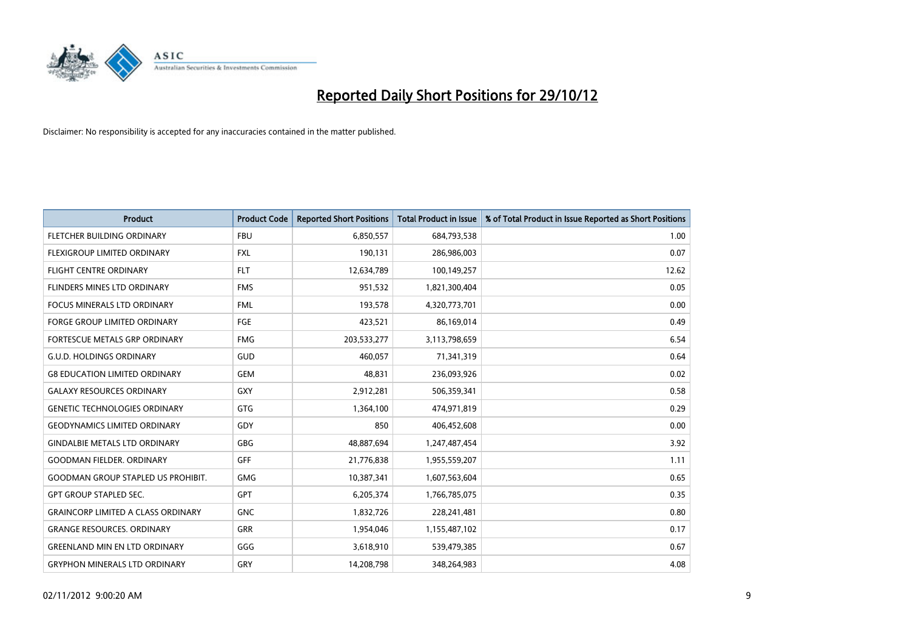

| <b>Product</b>                            | <b>Product Code</b> | <b>Reported Short Positions</b> | <b>Total Product in Issue</b> | % of Total Product in Issue Reported as Short Positions |
|-------------------------------------------|---------------------|---------------------------------|-------------------------------|---------------------------------------------------------|
| FLETCHER BUILDING ORDINARY                | <b>FBU</b>          | 6,850,557                       | 684,793,538                   | 1.00                                                    |
| <b>FLEXIGROUP LIMITED ORDINARY</b>        | <b>FXL</b>          | 190,131                         | 286,986,003                   | 0.07                                                    |
| <b>FLIGHT CENTRE ORDINARY</b>             | <b>FLT</b>          | 12,634,789                      | 100,149,257                   | 12.62                                                   |
| FLINDERS MINES LTD ORDINARY               | <b>FMS</b>          | 951,532                         | 1,821,300,404                 | 0.05                                                    |
| <b>FOCUS MINERALS LTD ORDINARY</b>        | <b>FML</b>          | 193,578                         | 4,320,773,701                 | 0.00                                                    |
| <b>FORGE GROUP LIMITED ORDINARY</b>       | FGE                 | 423,521                         | 86,169,014                    | 0.49                                                    |
| FORTESCUE METALS GRP ORDINARY             | <b>FMG</b>          | 203,533,277                     | 3,113,798,659                 | 6.54                                                    |
| <b>G.U.D. HOLDINGS ORDINARY</b>           | GUD                 | 460,057                         | 71,341,319                    | 0.64                                                    |
| <b>G8 EDUCATION LIMITED ORDINARY</b>      | <b>GEM</b>          | 48,831                          | 236,093,926                   | 0.02                                                    |
| <b>GALAXY RESOURCES ORDINARY</b>          | <b>GXY</b>          | 2,912,281                       | 506,359,341                   | 0.58                                                    |
| <b>GENETIC TECHNOLOGIES ORDINARY</b>      | <b>GTG</b>          | 1,364,100                       | 474,971,819                   | 0.29                                                    |
| <b>GEODYNAMICS LIMITED ORDINARY</b>       | GDY                 | 850                             | 406,452,608                   | 0.00                                                    |
| <b>GINDALBIE METALS LTD ORDINARY</b>      | <b>GBG</b>          | 48,887,694                      | 1,247,487,454                 | 3.92                                                    |
| <b>GOODMAN FIELDER, ORDINARY</b>          | <b>GFF</b>          | 21,776,838                      | 1,955,559,207                 | 1.11                                                    |
| <b>GOODMAN GROUP STAPLED US PROHIBIT.</b> | <b>GMG</b>          | 10,387,341                      | 1,607,563,604                 | 0.65                                                    |
| <b>GPT GROUP STAPLED SEC.</b>             | <b>GPT</b>          | 6,205,374                       | 1,766,785,075                 | 0.35                                                    |
| <b>GRAINCORP LIMITED A CLASS ORDINARY</b> | <b>GNC</b>          | 1,832,726                       | 228,241,481                   | 0.80                                                    |
| <b>GRANGE RESOURCES. ORDINARY</b>         | <b>GRR</b>          | 1,954,046                       | 1,155,487,102                 | 0.17                                                    |
| <b>GREENLAND MIN EN LTD ORDINARY</b>      | GGG                 | 3,618,910                       | 539,479,385                   | 0.67                                                    |
| <b>GRYPHON MINERALS LTD ORDINARY</b>      | GRY                 | 14.208.798                      | 348.264.983                   | 4.08                                                    |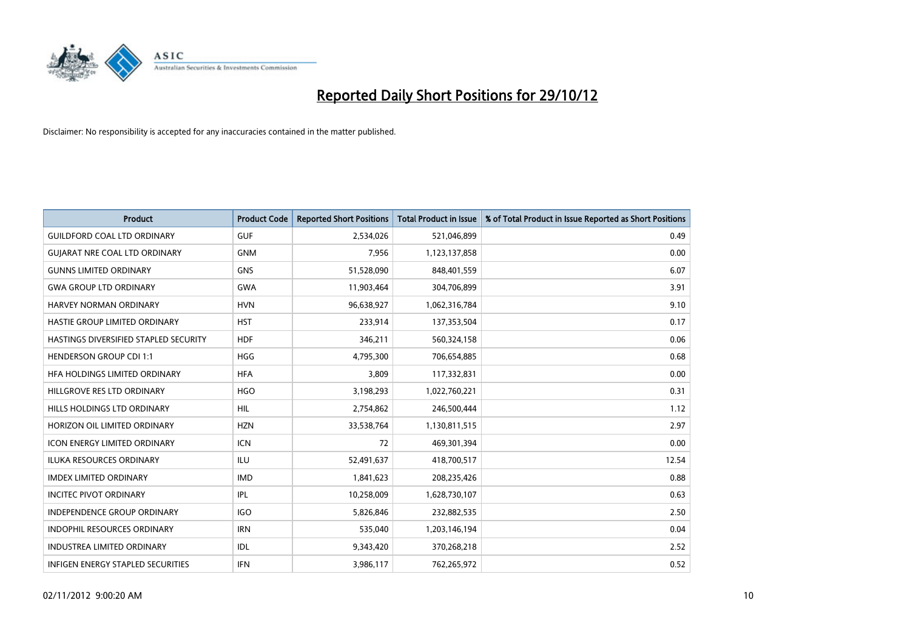

| <b>Product</b>                               | <b>Product Code</b> | <b>Reported Short Positions</b> | <b>Total Product in Issue</b> | % of Total Product in Issue Reported as Short Positions |
|----------------------------------------------|---------------------|---------------------------------|-------------------------------|---------------------------------------------------------|
| <b>GUILDFORD COAL LTD ORDINARY</b>           | <b>GUF</b>          | 2,534,026                       | 521,046,899                   | 0.49                                                    |
| <b>GUIARAT NRE COAL LTD ORDINARY</b>         | <b>GNM</b>          | 7,956                           | 1,123,137,858                 | 0.00                                                    |
| <b>GUNNS LIMITED ORDINARY</b>                | <b>GNS</b>          | 51,528,090                      | 848,401,559                   | 6.07                                                    |
| <b>GWA GROUP LTD ORDINARY</b>                | <b>GWA</b>          | 11,903,464                      | 304,706,899                   | 3.91                                                    |
| HARVEY NORMAN ORDINARY                       | <b>HVN</b>          | 96,638,927                      | 1,062,316,784                 | 9.10                                                    |
| HASTIE GROUP LIMITED ORDINARY                | <b>HST</b>          | 233,914                         | 137,353,504                   | 0.17                                                    |
| <b>HASTINGS DIVERSIFIED STAPLED SECURITY</b> | <b>HDF</b>          | 346,211                         | 560,324,158                   | 0.06                                                    |
| <b>HENDERSON GROUP CDI 1:1</b>               | <b>HGG</b>          | 4,795,300                       | 706,654,885                   | 0.68                                                    |
| HFA HOLDINGS LIMITED ORDINARY                | <b>HFA</b>          | 3,809                           | 117,332,831                   | 0.00                                                    |
| HILLGROVE RES LTD ORDINARY                   | <b>HGO</b>          | 3,198,293                       | 1,022,760,221                 | 0.31                                                    |
| HILLS HOLDINGS LTD ORDINARY                  | <b>HIL</b>          | 2,754,862                       | 246,500,444                   | 1.12                                                    |
| HORIZON OIL LIMITED ORDINARY                 | <b>HZN</b>          | 33,538,764                      | 1,130,811,515                 | 2.97                                                    |
| ICON ENERGY LIMITED ORDINARY                 | <b>ICN</b>          | 72                              | 469,301,394                   | 0.00                                                    |
| <b>ILUKA RESOURCES ORDINARY</b>              | ILU                 | 52,491,637                      | 418,700,517                   | 12.54                                                   |
| <b>IMDEX LIMITED ORDINARY</b>                | <b>IMD</b>          | 1,841,623                       | 208,235,426                   | 0.88                                                    |
| <b>INCITEC PIVOT ORDINARY</b>                | IPL                 | 10,258,009                      | 1,628,730,107                 | 0.63                                                    |
| INDEPENDENCE GROUP ORDINARY                  | <b>IGO</b>          | 5,826,846                       | 232,882,535                   | 2.50                                                    |
| INDOPHIL RESOURCES ORDINARY                  | <b>IRN</b>          | 535,040                         | 1,203,146,194                 | 0.04                                                    |
| <b>INDUSTREA LIMITED ORDINARY</b>            | IDL                 | 9,343,420                       | 370,268,218                   | 2.52                                                    |
| INFIGEN ENERGY STAPLED SECURITIES            | <b>IFN</b>          | 3,986,117                       | 762,265,972                   | 0.52                                                    |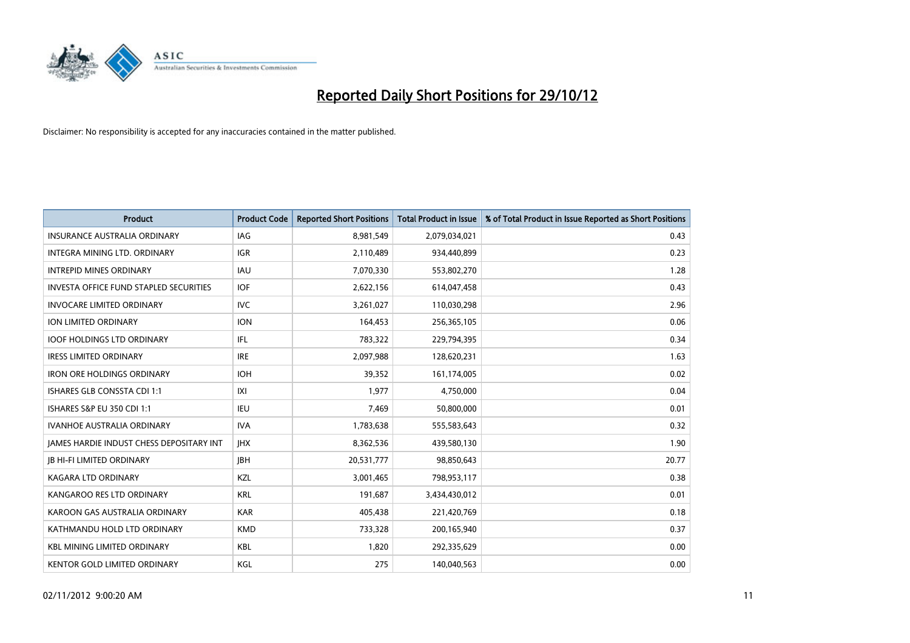

| <b>Product</b>                                  | <b>Product Code</b> | <b>Reported Short Positions</b> | <b>Total Product in Issue</b> | % of Total Product in Issue Reported as Short Positions |
|-------------------------------------------------|---------------------|---------------------------------|-------------------------------|---------------------------------------------------------|
| <b>INSURANCE AUSTRALIA ORDINARY</b>             | IAG                 | 8,981,549                       | 2,079,034,021                 | 0.43                                                    |
| <b>INTEGRA MINING LTD, ORDINARY</b>             | <b>IGR</b>          | 2,110,489                       | 934,440,899                   | 0.23                                                    |
| <b>INTREPID MINES ORDINARY</b>                  | <b>IAU</b>          | 7,070,330                       | 553,802,270                   | 1.28                                                    |
| <b>INVESTA OFFICE FUND STAPLED SECURITIES</b>   | <b>IOF</b>          | 2,622,156                       | 614,047,458                   | 0.43                                                    |
| <b>INVOCARE LIMITED ORDINARY</b>                | <b>IVC</b>          | 3,261,027                       | 110,030,298                   | 2.96                                                    |
| ION LIMITED ORDINARY                            | <b>ION</b>          | 164,453                         | 256,365,105                   | 0.06                                                    |
| <b>IOOF HOLDINGS LTD ORDINARY</b>               | IFL                 | 783.322                         | 229,794,395                   | 0.34                                                    |
| <b>IRESS LIMITED ORDINARY</b>                   | <b>IRE</b>          | 2,097,988                       | 128,620,231                   | 1.63                                                    |
| <b>IRON ORE HOLDINGS ORDINARY</b>               | <b>IOH</b>          | 39,352                          | 161,174,005                   | 0.02                                                    |
| <b>ISHARES GLB CONSSTA CDI 1:1</b>              | X                   | 1.977                           | 4,750,000                     | 0.04                                                    |
| <b>ISHARES S&amp;P EU 350 CDI 1:1</b>           | IEU                 | 7,469                           | 50,800,000                    | 0.01                                                    |
| <b>IVANHOE AUSTRALIA ORDINARY</b>               | <b>IVA</b>          | 1,783,638                       | 555,583,643                   | 0.32                                                    |
| <b>IAMES HARDIE INDUST CHESS DEPOSITARY INT</b> | <b>IHX</b>          | 8,362,536                       | 439,580,130                   | 1.90                                                    |
| <b>JB HI-FI LIMITED ORDINARY</b>                | <b>IBH</b>          | 20,531,777                      | 98,850,643                    | 20.77                                                   |
| KAGARA LTD ORDINARY                             | <b>KZL</b>          | 3,001,465                       | 798,953,117                   | 0.38                                                    |
| KANGAROO RES LTD ORDINARY                       | <b>KRL</b>          | 191,687                         | 3,434,430,012                 | 0.01                                                    |
| KAROON GAS AUSTRALIA ORDINARY                   | <b>KAR</b>          | 405,438                         | 221,420,769                   | 0.18                                                    |
| KATHMANDU HOLD LTD ORDINARY                     | <b>KMD</b>          | 733,328                         | 200,165,940                   | 0.37                                                    |
| <b>KBL MINING LIMITED ORDINARY</b>              | <b>KBL</b>          | 1,820                           | 292,335,629                   | 0.00                                                    |
| <b>KENTOR GOLD LIMITED ORDINARY</b>             | KGL                 | 275                             | 140,040,563                   | 0.00                                                    |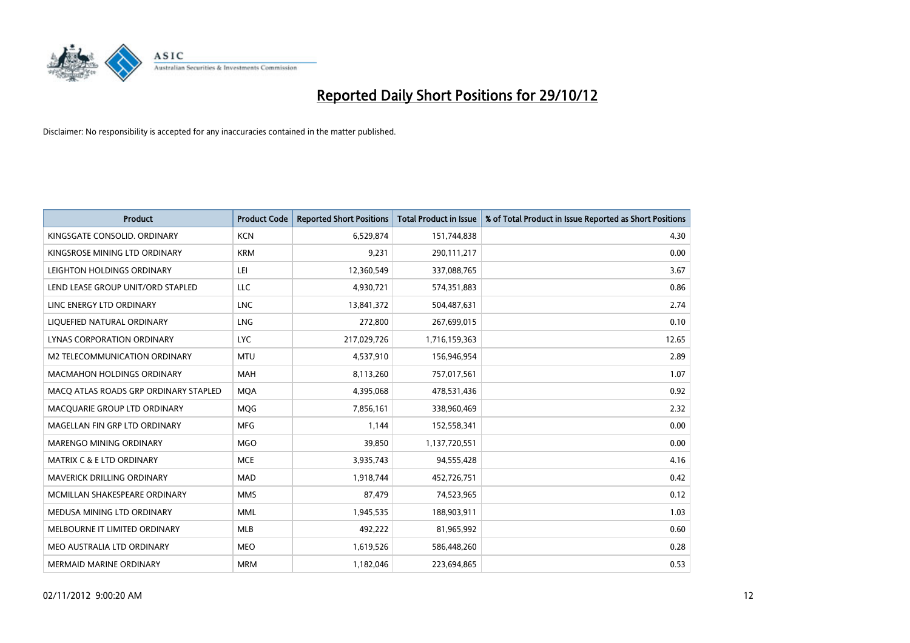

| <b>Product</b>                        | <b>Product Code</b> | <b>Reported Short Positions</b> | <b>Total Product in Issue</b> | % of Total Product in Issue Reported as Short Positions |
|---------------------------------------|---------------------|---------------------------------|-------------------------------|---------------------------------------------------------|
| KINGSGATE CONSOLID. ORDINARY          | <b>KCN</b>          | 6,529,874                       | 151,744,838                   | 4.30                                                    |
| KINGSROSE MINING LTD ORDINARY         | <b>KRM</b>          | 9,231                           | 290,111,217                   | 0.00                                                    |
| LEIGHTON HOLDINGS ORDINARY            | LEI                 | 12,360,549                      | 337,088,765                   | 3.67                                                    |
| LEND LEASE GROUP UNIT/ORD STAPLED     | <b>LLC</b>          | 4,930,721                       | 574,351,883                   | 0.86                                                    |
| LINC ENERGY LTD ORDINARY              | <b>LNC</b>          | 13,841,372                      | 504,487,631                   | 2.74                                                    |
| LIQUEFIED NATURAL ORDINARY            | LNG                 | 272,800                         | 267,699,015                   | 0.10                                                    |
| LYNAS CORPORATION ORDINARY            | LYC.                | 217,029,726                     | 1,716,159,363                 | 12.65                                                   |
| M2 TELECOMMUNICATION ORDINARY         | <b>MTU</b>          | 4,537,910                       | 156,946,954                   | 2.89                                                    |
| <b>MACMAHON HOLDINGS ORDINARY</b>     | <b>MAH</b>          | 8,113,260                       | 757,017,561                   | 1.07                                                    |
| MACO ATLAS ROADS GRP ORDINARY STAPLED | <b>MOA</b>          | 4,395,068                       | 478,531,436                   | 0.92                                                    |
| MACQUARIE GROUP LTD ORDINARY          | MQG                 | 7,856,161                       | 338,960,469                   | 2.32                                                    |
| MAGELLAN FIN GRP LTD ORDINARY         | <b>MFG</b>          | 1,144                           | 152,558,341                   | 0.00                                                    |
| <b>MARENGO MINING ORDINARY</b>        | <b>MGO</b>          | 39,850                          | 1,137,720,551                 | 0.00                                                    |
| <b>MATRIX C &amp; E LTD ORDINARY</b>  | <b>MCE</b>          | 3,935,743                       | 94,555,428                    | 4.16                                                    |
| <b>MAVERICK DRILLING ORDINARY</b>     | <b>MAD</b>          | 1,918,744                       | 452,726,751                   | 0.42                                                    |
| MCMILLAN SHAKESPEARE ORDINARY         | <b>MMS</b>          | 87,479                          | 74,523,965                    | 0.12                                                    |
| MEDUSA MINING LTD ORDINARY            | <b>MML</b>          | 1,945,535                       | 188,903,911                   | 1.03                                                    |
| MELBOURNE IT LIMITED ORDINARY         | <b>MLB</b>          | 492,222                         | 81,965,992                    | 0.60                                                    |
| MEO AUSTRALIA LTD ORDINARY            | <b>MEO</b>          | 1,619,526                       | 586,448,260                   | 0.28                                                    |
| <b>MERMAID MARINE ORDINARY</b>        | <b>MRM</b>          | 1,182,046                       | 223,694,865                   | 0.53                                                    |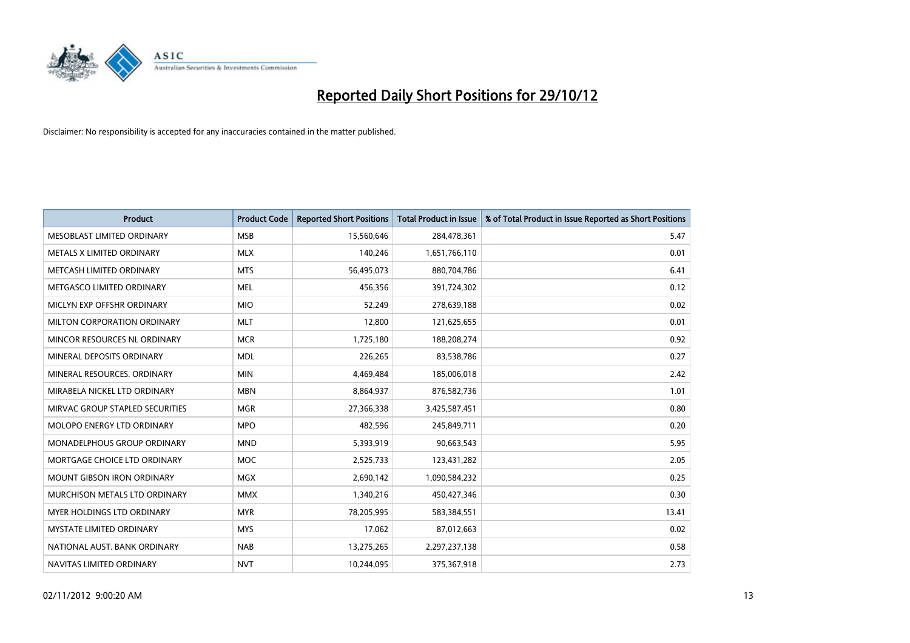

| <b>Product</b>                    | <b>Product Code</b> | <b>Reported Short Positions</b> | <b>Total Product in Issue</b> | % of Total Product in Issue Reported as Short Positions |
|-----------------------------------|---------------------|---------------------------------|-------------------------------|---------------------------------------------------------|
| MESOBLAST LIMITED ORDINARY        | <b>MSB</b>          | 15,560,646                      | 284,478,361                   | 5.47                                                    |
| METALS X LIMITED ORDINARY         | <b>MLX</b>          | 140,246                         | 1,651,766,110                 | 0.01                                                    |
| METCASH LIMITED ORDINARY          | <b>MTS</b>          | 56,495,073                      | 880,704,786                   | 6.41                                                    |
| METGASCO LIMITED ORDINARY         | <b>MEL</b>          | 456,356                         | 391,724,302                   | 0.12                                                    |
| MICLYN EXP OFFSHR ORDINARY        | <b>MIO</b>          | 52,249                          | 278,639,188                   | 0.02                                                    |
| MILTON CORPORATION ORDINARY       | <b>MLT</b>          | 12,800                          | 121,625,655                   | 0.01                                                    |
| MINCOR RESOURCES NL ORDINARY      | <b>MCR</b>          | 1,725,180                       | 188,208,274                   | 0.92                                                    |
| MINERAL DEPOSITS ORDINARY         | <b>MDL</b>          | 226,265                         | 83,538,786                    | 0.27                                                    |
| MINERAL RESOURCES, ORDINARY       | <b>MIN</b>          | 4,469,484                       | 185,006,018                   | 2.42                                                    |
| MIRABELA NICKEL LTD ORDINARY      | <b>MBN</b>          | 8,864,937                       | 876,582,736                   | 1.01                                                    |
| MIRVAC GROUP STAPLED SECURITIES   | <b>MGR</b>          | 27,366,338                      | 3,425,587,451                 | 0.80                                                    |
| MOLOPO ENERGY LTD ORDINARY        | <b>MPO</b>          | 482,596                         | 245,849,711                   | 0.20                                                    |
| MONADELPHOUS GROUP ORDINARY       | <b>MND</b>          | 5,393,919                       | 90,663,543                    | 5.95                                                    |
| MORTGAGE CHOICE LTD ORDINARY      | <b>MOC</b>          | 2,525,733                       | 123,431,282                   | 2.05                                                    |
| <b>MOUNT GIBSON IRON ORDINARY</b> | <b>MGX</b>          | 2,690,142                       | 1,090,584,232                 | 0.25                                                    |
| MURCHISON METALS LTD ORDINARY     | <b>MMX</b>          | 1,340,216                       | 450,427,346                   | 0.30                                                    |
| MYER HOLDINGS LTD ORDINARY        | <b>MYR</b>          | 78,205,995                      | 583,384,551                   | 13.41                                                   |
| MYSTATE LIMITED ORDINARY          | <b>MYS</b>          | 17,062                          | 87,012,663                    | 0.02                                                    |
| NATIONAL AUST, BANK ORDINARY      | <b>NAB</b>          | 13,275,265                      | 2,297,237,138                 | 0.58                                                    |
| NAVITAS LIMITED ORDINARY          | <b>NVT</b>          | 10,244,095                      | 375,367,918                   | 2.73                                                    |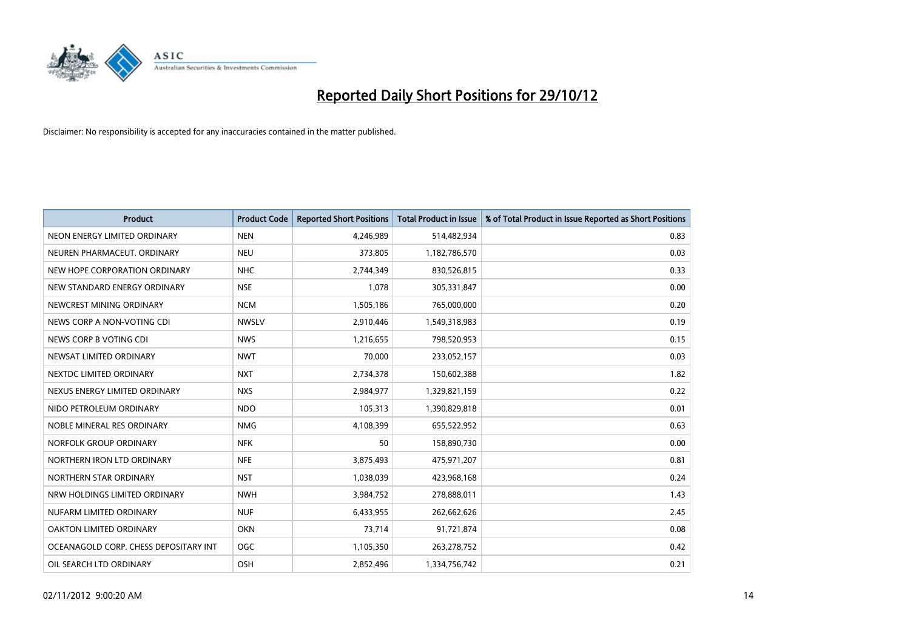

| <b>Product</b>                        | <b>Product Code</b> | <b>Reported Short Positions</b> | <b>Total Product in Issue</b> | % of Total Product in Issue Reported as Short Positions |
|---------------------------------------|---------------------|---------------------------------|-------------------------------|---------------------------------------------------------|
| NEON ENERGY LIMITED ORDINARY          | <b>NEN</b>          | 4,246,989                       | 514,482,934                   | 0.83                                                    |
| NEUREN PHARMACEUT. ORDINARY           | <b>NEU</b>          | 373,805                         | 1,182,786,570                 | 0.03                                                    |
| NEW HOPE CORPORATION ORDINARY         | <b>NHC</b>          | 2,744,349                       | 830,526,815                   | 0.33                                                    |
| NEW STANDARD ENERGY ORDINARY          | <b>NSE</b>          | 1,078                           | 305,331,847                   | 0.00                                                    |
| NEWCREST MINING ORDINARY              | <b>NCM</b>          | 1,505,186                       | 765,000,000                   | 0.20                                                    |
| NEWS CORP A NON-VOTING CDI            | <b>NWSLV</b>        | 2,910,446                       | 1,549,318,983                 | 0.19                                                    |
| NEWS CORP B VOTING CDI                | <b>NWS</b>          | 1,216,655                       | 798,520,953                   | 0.15                                                    |
| NEWSAT LIMITED ORDINARY               | <b>NWT</b>          | 70,000                          | 233,052,157                   | 0.03                                                    |
| NEXTDC LIMITED ORDINARY               | <b>NXT</b>          | 2,734,378                       | 150,602,388                   | 1.82                                                    |
| NEXUS ENERGY LIMITED ORDINARY         | <b>NXS</b>          | 2,984,977                       | 1,329,821,159                 | 0.22                                                    |
| NIDO PETROLEUM ORDINARY               | <b>NDO</b>          | 105,313                         | 1,390,829,818                 | 0.01                                                    |
| NOBLE MINERAL RES ORDINARY            | <b>NMG</b>          | 4,108,399                       | 655,522,952                   | 0.63                                                    |
| NORFOLK GROUP ORDINARY                | <b>NFK</b>          | 50                              | 158,890,730                   | 0.00                                                    |
| NORTHERN IRON LTD ORDINARY            | <b>NFE</b>          | 3,875,493                       | 475,971,207                   | 0.81                                                    |
| NORTHERN STAR ORDINARY                | <b>NST</b>          | 1,038,039                       | 423,968,168                   | 0.24                                                    |
| NRW HOLDINGS LIMITED ORDINARY         | <b>NWH</b>          | 3,984,752                       | 278,888,011                   | 1.43                                                    |
| NUFARM LIMITED ORDINARY               | <b>NUF</b>          | 6,433,955                       | 262,662,626                   | 2.45                                                    |
| OAKTON LIMITED ORDINARY               | <b>OKN</b>          | 73,714                          | 91,721,874                    | 0.08                                                    |
| OCEANAGOLD CORP. CHESS DEPOSITARY INT | <b>OGC</b>          | 1,105,350                       | 263,278,752                   | 0.42                                                    |
| OIL SEARCH LTD ORDINARY               | OSH                 | 2,852,496                       | 1,334,756,742                 | 0.21                                                    |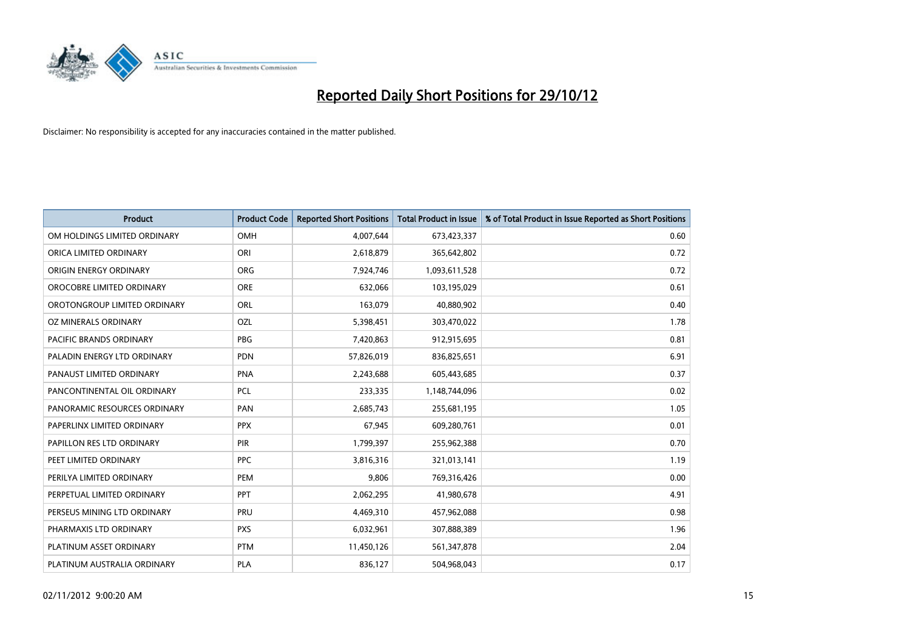

| <b>Product</b>               | <b>Product Code</b> | <b>Reported Short Positions</b> | <b>Total Product in Issue</b> | % of Total Product in Issue Reported as Short Positions |
|------------------------------|---------------------|---------------------------------|-------------------------------|---------------------------------------------------------|
| OM HOLDINGS LIMITED ORDINARY | OMH                 | 4,007,644                       | 673,423,337                   | 0.60                                                    |
| ORICA LIMITED ORDINARY       | ORI                 | 2,618,879                       | 365,642,802                   | 0.72                                                    |
| ORIGIN ENERGY ORDINARY       | <b>ORG</b>          | 7,924,746                       | 1,093,611,528                 | 0.72                                                    |
| OROCOBRE LIMITED ORDINARY    | <b>ORE</b>          | 632,066                         | 103,195,029                   | 0.61                                                    |
| OROTONGROUP LIMITED ORDINARY | <b>ORL</b>          | 163,079                         | 40,880,902                    | 0.40                                                    |
| OZ MINERALS ORDINARY         | OZL                 | 5,398,451                       | 303,470,022                   | 1.78                                                    |
| PACIFIC BRANDS ORDINARY      | <b>PBG</b>          | 7,420,863                       | 912,915,695                   | 0.81                                                    |
| PALADIN ENERGY LTD ORDINARY  | <b>PDN</b>          | 57,826,019                      | 836,825,651                   | 6.91                                                    |
| PANAUST LIMITED ORDINARY     | <b>PNA</b>          | 2,243,688                       | 605,443,685                   | 0.37                                                    |
| PANCONTINENTAL OIL ORDINARY  | <b>PCL</b>          | 233,335                         | 1,148,744,096                 | 0.02                                                    |
| PANORAMIC RESOURCES ORDINARY | PAN                 | 2,685,743                       | 255,681,195                   | 1.05                                                    |
| PAPERLINX LIMITED ORDINARY   | <b>PPX</b>          | 67,945                          | 609,280,761                   | 0.01                                                    |
| PAPILLON RES LTD ORDINARY    | <b>PIR</b>          | 1,799,397                       | 255,962,388                   | 0.70                                                    |
| PEET LIMITED ORDINARY        | <b>PPC</b>          | 3,816,316                       | 321,013,141                   | 1.19                                                    |
| PERILYA LIMITED ORDINARY     | PEM                 | 9,806                           | 769,316,426                   | 0.00                                                    |
| PERPETUAL LIMITED ORDINARY   | <b>PPT</b>          | 2,062,295                       | 41,980,678                    | 4.91                                                    |
| PERSEUS MINING LTD ORDINARY  | PRU                 | 4,469,310                       | 457,962,088                   | 0.98                                                    |
| PHARMAXIS LTD ORDINARY       | <b>PXS</b>          | 6,032,961                       | 307,888,389                   | 1.96                                                    |
| PLATINUM ASSET ORDINARY      | <b>PTM</b>          | 11,450,126                      | 561,347,878                   | 2.04                                                    |
| PLATINUM AUSTRALIA ORDINARY  | <b>PLA</b>          | 836,127                         | 504,968,043                   | 0.17                                                    |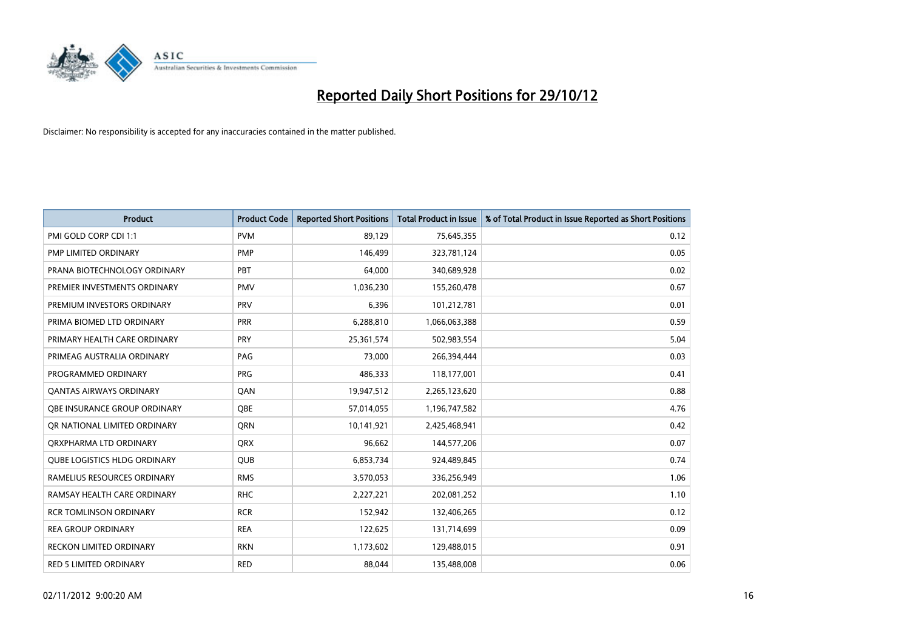

| <b>Product</b>                      | <b>Product Code</b> | <b>Reported Short Positions</b> | <b>Total Product in Issue</b> | % of Total Product in Issue Reported as Short Positions |
|-------------------------------------|---------------------|---------------------------------|-------------------------------|---------------------------------------------------------|
| PMI GOLD CORP CDI 1:1               | <b>PVM</b>          | 89,129                          | 75,645,355                    | 0.12                                                    |
| PMP LIMITED ORDINARY                | <b>PMP</b>          | 146,499                         | 323,781,124                   | 0.05                                                    |
| PRANA BIOTECHNOLOGY ORDINARY        | PBT                 | 64,000                          | 340,689,928                   | 0.02                                                    |
| PREMIER INVESTMENTS ORDINARY        | <b>PMV</b>          | 1,036,230                       | 155,260,478                   | 0.67                                                    |
| PREMIUM INVESTORS ORDINARY          | <b>PRV</b>          | 6,396                           | 101,212,781                   | 0.01                                                    |
| PRIMA BIOMED LTD ORDINARY           | <b>PRR</b>          | 6,288,810                       | 1,066,063,388                 | 0.59                                                    |
| PRIMARY HEALTH CARE ORDINARY        | PRY                 | 25,361,574                      | 502,983,554                   | 5.04                                                    |
| PRIMEAG AUSTRALIA ORDINARY          | PAG                 | 73,000                          | 266,394,444                   | 0.03                                                    |
| PROGRAMMED ORDINARY                 | <b>PRG</b>          | 486,333                         | 118,177,001                   | 0.41                                                    |
| OANTAS AIRWAYS ORDINARY             | QAN                 | 19,947,512                      | 2,265,123,620                 | 0.88                                                    |
| <b>OBE INSURANCE GROUP ORDINARY</b> | <b>OBE</b>          | 57,014,055                      | 1,196,747,582                 | 4.76                                                    |
| OR NATIONAL LIMITED ORDINARY        | <b>ORN</b>          | 10,141,921                      | 2,425,468,941                 | 0.42                                                    |
| ORXPHARMA LTD ORDINARY              | <b>QRX</b>          | 96,662                          | 144,577,206                   | 0.07                                                    |
| <b>QUBE LOGISTICS HLDG ORDINARY</b> | QUB                 | 6,853,734                       | 924,489,845                   | 0.74                                                    |
| RAMELIUS RESOURCES ORDINARY         | <b>RMS</b>          | 3,570,053                       | 336,256,949                   | 1.06                                                    |
| RAMSAY HEALTH CARE ORDINARY         | <b>RHC</b>          | 2,227,221                       | 202,081,252                   | 1.10                                                    |
| <b>RCR TOMLINSON ORDINARY</b>       | <b>RCR</b>          | 152,942                         | 132,406,265                   | 0.12                                                    |
| <b>REA GROUP ORDINARY</b>           | <b>REA</b>          | 122,625                         | 131,714,699                   | 0.09                                                    |
| <b>RECKON LIMITED ORDINARY</b>      | <b>RKN</b>          | 1,173,602                       | 129,488,015                   | 0.91                                                    |
| RED 5 LIMITED ORDINARY              | <b>RED</b>          | 88,044                          | 135,488,008                   | 0.06                                                    |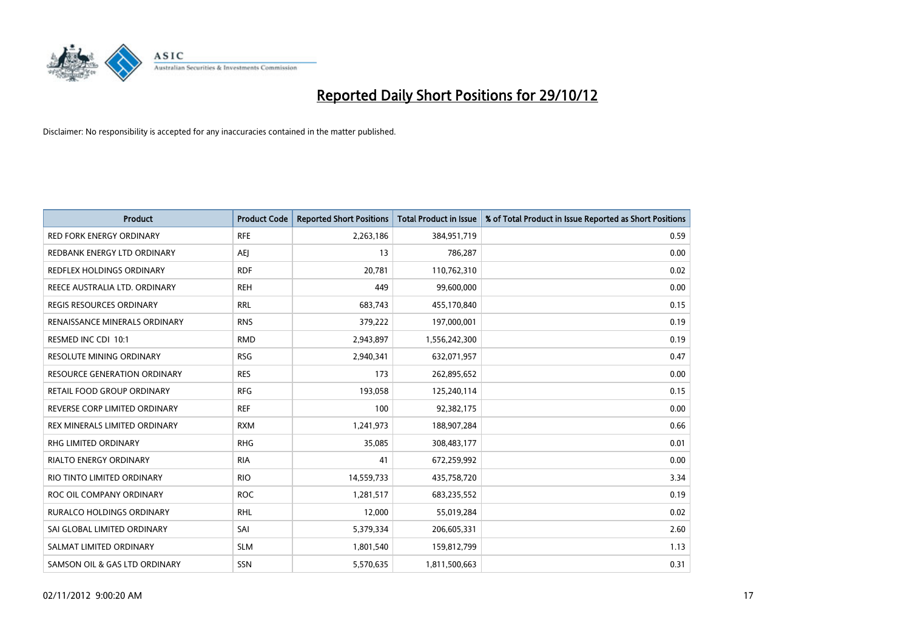

| <b>Product</b>                      | <b>Product Code</b> | <b>Reported Short Positions</b> | <b>Total Product in Issue</b> | % of Total Product in Issue Reported as Short Positions |
|-------------------------------------|---------------------|---------------------------------|-------------------------------|---------------------------------------------------------|
| <b>RED FORK ENERGY ORDINARY</b>     | <b>RFE</b>          | 2,263,186                       | 384,951,719                   | 0.59                                                    |
| REDBANK ENERGY LTD ORDINARY         | AEJ                 | 13                              | 786,287                       | 0.00                                                    |
| REDFLEX HOLDINGS ORDINARY           | <b>RDF</b>          | 20,781                          | 110,762,310                   | 0.02                                                    |
| REECE AUSTRALIA LTD. ORDINARY       | <b>REH</b>          | 449                             | 99,600,000                    | 0.00                                                    |
| <b>REGIS RESOURCES ORDINARY</b>     | <b>RRL</b>          | 683,743                         | 455,170,840                   | 0.15                                                    |
| RENAISSANCE MINERALS ORDINARY       | <b>RNS</b>          | 379,222                         | 197,000,001                   | 0.19                                                    |
| RESMED INC CDI 10:1                 | <b>RMD</b>          | 2,943,897                       | 1,556,242,300                 | 0.19                                                    |
| RESOLUTE MINING ORDINARY            | <b>RSG</b>          | 2,940,341                       | 632,071,957                   | 0.47                                                    |
| <b>RESOURCE GENERATION ORDINARY</b> | <b>RES</b>          | 173                             | 262,895,652                   | 0.00                                                    |
| RETAIL FOOD GROUP ORDINARY          | <b>RFG</b>          | 193,058                         | 125,240,114                   | 0.15                                                    |
| REVERSE CORP LIMITED ORDINARY       | <b>REF</b>          | 100                             | 92,382,175                    | 0.00                                                    |
| REX MINERALS LIMITED ORDINARY       | <b>RXM</b>          | 1,241,973                       | 188,907,284                   | 0.66                                                    |
| RHG LIMITED ORDINARY                | <b>RHG</b>          | 35,085                          | 308,483,177                   | 0.01                                                    |
| <b>RIALTO ENERGY ORDINARY</b>       | <b>RIA</b>          | 41                              | 672,259,992                   | 0.00                                                    |
| RIO TINTO LIMITED ORDINARY          | <b>RIO</b>          | 14,559,733                      | 435,758,720                   | 3.34                                                    |
| ROC OIL COMPANY ORDINARY            | <b>ROC</b>          | 1,281,517                       | 683,235,552                   | 0.19                                                    |
| RURALCO HOLDINGS ORDINARY           | <b>RHL</b>          | 12,000                          | 55,019,284                    | 0.02                                                    |
| SAI GLOBAL LIMITED ORDINARY         | SAI                 | 5,379,334                       | 206,605,331                   | 2.60                                                    |
| SALMAT LIMITED ORDINARY             | <b>SLM</b>          | 1,801,540                       | 159,812,799                   | 1.13                                                    |
| SAMSON OIL & GAS LTD ORDINARY       | <b>SSN</b>          | 5,570,635                       | 1,811,500,663                 | 0.31                                                    |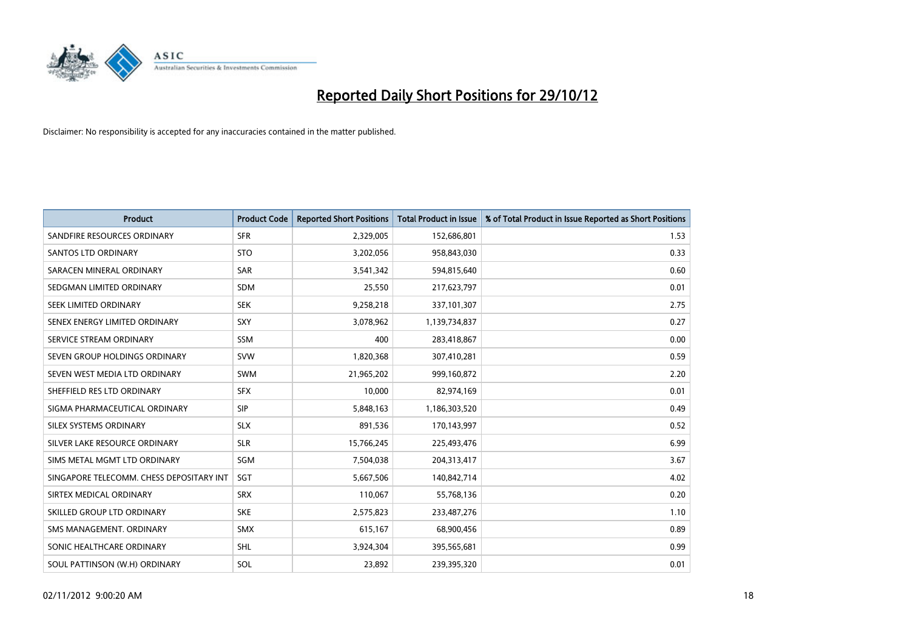

| <b>Product</b>                           | <b>Product Code</b> | <b>Reported Short Positions</b> | <b>Total Product in Issue</b> | % of Total Product in Issue Reported as Short Positions |
|------------------------------------------|---------------------|---------------------------------|-------------------------------|---------------------------------------------------------|
| SANDFIRE RESOURCES ORDINARY              | <b>SFR</b>          | 2,329,005                       | 152,686,801                   | 1.53                                                    |
| <b>SANTOS LTD ORDINARY</b>               | <b>STO</b>          | 3,202,056                       | 958,843,030                   | 0.33                                                    |
| SARACEN MINERAL ORDINARY                 | <b>SAR</b>          | 3,541,342                       | 594,815,640                   | 0.60                                                    |
| SEDGMAN LIMITED ORDINARY                 | <b>SDM</b>          | 25,550                          | 217,623,797                   | 0.01                                                    |
| SEEK LIMITED ORDINARY                    | <b>SEK</b>          | 9,258,218                       | 337,101,307                   | 2.75                                                    |
| SENEX ENERGY LIMITED ORDINARY            | SXY                 | 3,078,962                       | 1,139,734,837                 | 0.27                                                    |
| SERVICE STREAM ORDINARY                  | <b>SSM</b>          | 400                             | 283,418,867                   | 0.00                                                    |
| SEVEN GROUP HOLDINGS ORDINARY            | <b>SVW</b>          | 1,820,368                       | 307,410,281                   | 0.59                                                    |
| SEVEN WEST MEDIA LTD ORDINARY            | <b>SWM</b>          | 21,965,202                      | 999,160,872                   | 2.20                                                    |
| SHEFFIELD RES LTD ORDINARY               | <b>SFX</b>          | 10,000                          | 82,974,169                    | 0.01                                                    |
| SIGMA PHARMACEUTICAL ORDINARY            | <b>SIP</b>          | 5,848,163                       | 1,186,303,520                 | 0.49                                                    |
| <b>SILEX SYSTEMS ORDINARY</b>            | <b>SLX</b>          | 891,536                         | 170,143,997                   | 0.52                                                    |
| SILVER LAKE RESOURCE ORDINARY            | <b>SLR</b>          | 15,766,245                      | 225,493,476                   | 6.99                                                    |
| SIMS METAL MGMT LTD ORDINARY             | SGM                 | 7,504,038                       | 204,313,417                   | 3.67                                                    |
| SINGAPORE TELECOMM. CHESS DEPOSITARY INT | SGT                 | 5,667,506                       | 140,842,714                   | 4.02                                                    |
| SIRTEX MEDICAL ORDINARY                  | <b>SRX</b>          | 110,067                         | 55,768,136                    | 0.20                                                    |
| SKILLED GROUP LTD ORDINARY               | <b>SKE</b>          | 2,575,823                       | 233,487,276                   | 1.10                                                    |
| SMS MANAGEMENT. ORDINARY                 | <b>SMX</b>          | 615,167                         | 68,900,456                    | 0.89                                                    |
| SONIC HEALTHCARE ORDINARY                | <b>SHL</b>          | 3,924,304                       | 395,565,681                   | 0.99                                                    |
| SOUL PATTINSON (W.H) ORDINARY            | SOL                 | 23.892                          | 239,395,320                   | 0.01                                                    |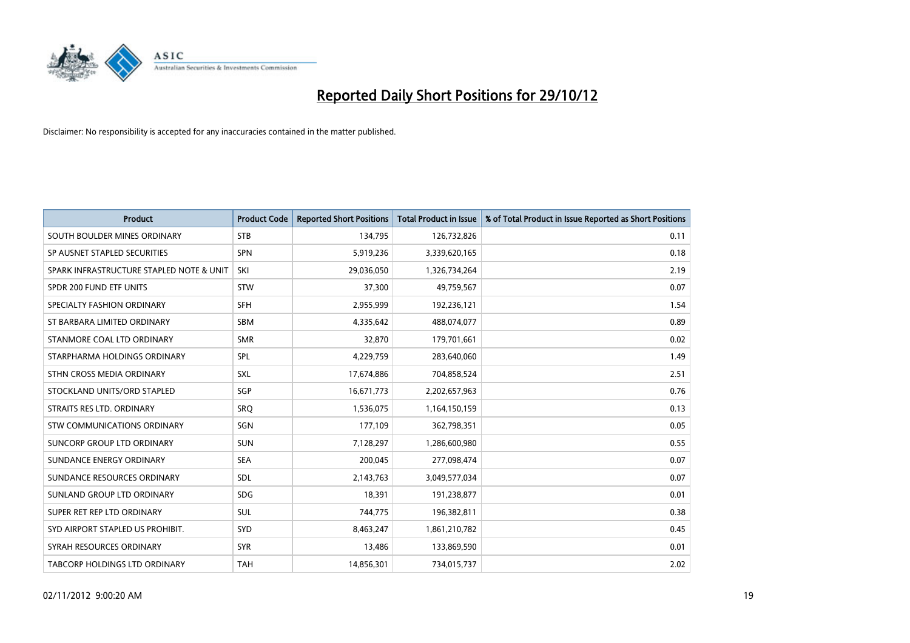

| <b>Product</b>                           | <b>Product Code</b> | <b>Reported Short Positions</b> | <b>Total Product in Issue</b> | % of Total Product in Issue Reported as Short Positions |
|------------------------------------------|---------------------|---------------------------------|-------------------------------|---------------------------------------------------------|
| SOUTH BOULDER MINES ORDINARY             | <b>STB</b>          | 134,795                         | 126,732,826                   | 0.11                                                    |
| SP AUSNET STAPLED SECURITIES             | <b>SPN</b>          | 5,919,236                       | 3,339,620,165                 | 0.18                                                    |
| SPARK INFRASTRUCTURE STAPLED NOTE & UNIT | SKI                 | 29,036,050                      | 1,326,734,264                 | 2.19                                                    |
| SPDR 200 FUND ETF UNITS                  | <b>STW</b>          | 37,300                          | 49,759,567                    | 0.07                                                    |
| SPECIALTY FASHION ORDINARY               | <b>SFH</b>          | 2,955,999                       | 192,236,121                   | 1.54                                                    |
| ST BARBARA LIMITED ORDINARY              | <b>SBM</b>          | 4,335,642                       | 488,074,077                   | 0.89                                                    |
| STANMORE COAL LTD ORDINARY               | <b>SMR</b>          | 32,870                          | 179,701,661                   | 0.02                                                    |
| STARPHARMA HOLDINGS ORDINARY             | SPL                 | 4,229,759                       | 283,640,060                   | 1.49                                                    |
| STHN CROSS MEDIA ORDINARY                | SXL                 | 17,674,886                      | 704,858,524                   | 2.51                                                    |
| STOCKLAND UNITS/ORD STAPLED              | <b>SGP</b>          | 16,671,773                      | 2,202,657,963                 | 0.76                                                    |
| STRAITS RES LTD. ORDINARY                | SRQ                 | 1,536,075                       | 1,164,150,159                 | 0.13                                                    |
| STW COMMUNICATIONS ORDINARY              | SGN                 | 177,109                         | 362,798,351                   | 0.05                                                    |
| SUNCORP GROUP LTD ORDINARY               | <b>SUN</b>          | 7,128,297                       | 1,286,600,980                 | 0.55                                                    |
| SUNDANCE ENERGY ORDINARY                 | <b>SEA</b>          | 200,045                         | 277,098,474                   | 0.07                                                    |
| SUNDANCE RESOURCES ORDINARY              | <b>SDL</b>          | 2,143,763                       | 3,049,577,034                 | 0.07                                                    |
| SUNLAND GROUP LTD ORDINARY               | <b>SDG</b>          | 18,391                          | 191,238,877                   | 0.01                                                    |
| SUPER RET REP LTD ORDINARY               | <b>SUL</b>          | 744,775                         | 196,382,811                   | 0.38                                                    |
| SYD AIRPORT STAPLED US PROHIBIT.         | <b>SYD</b>          | 8,463,247                       | 1,861,210,782                 | 0.45                                                    |
| SYRAH RESOURCES ORDINARY                 | <b>SYR</b>          | 13,486                          | 133,869,590                   | 0.01                                                    |
| TABCORP HOLDINGS LTD ORDINARY            | <b>TAH</b>          | 14,856,301                      | 734,015,737                   | 2.02                                                    |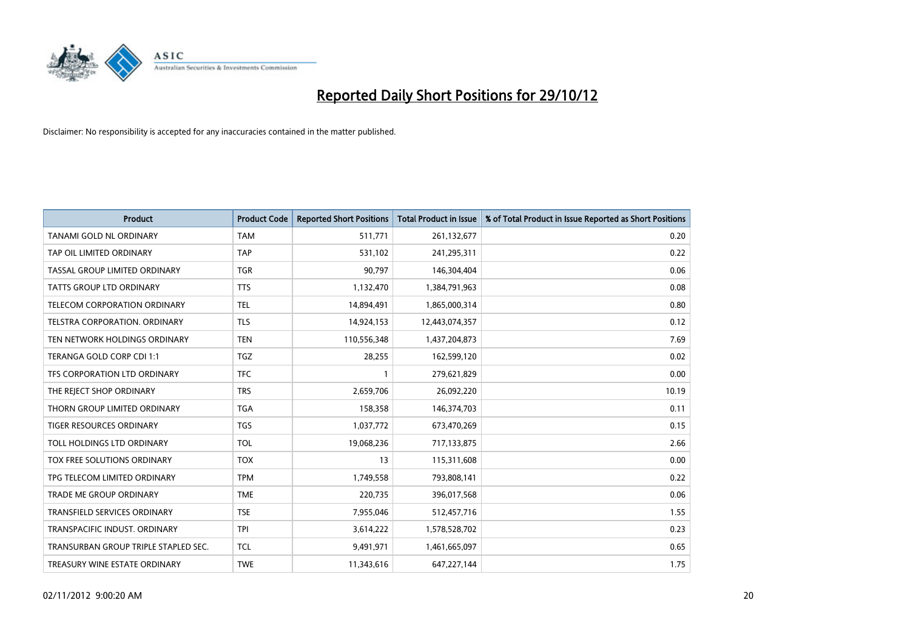

| <b>Product</b>                       | <b>Product Code</b> | <b>Reported Short Positions</b> | <b>Total Product in Issue</b> | % of Total Product in Issue Reported as Short Positions |
|--------------------------------------|---------------------|---------------------------------|-------------------------------|---------------------------------------------------------|
| <b>TANAMI GOLD NL ORDINARY</b>       | <b>TAM</b>          | 511,771                         | 261,132,677                   | 0.20                                                    |
| TAP OIL LIMITED ORDINARY             | <b>TAP</b>          | 531,102                         | 241,295,311                   | 0.22                                                    |
| TASSAL GROUP LIMITED ORDINARY        | <b>TGR</b>          | 90,797                          | 146,304,404                   | 0.06                                                    |
| <b>TATTS GROUP LTD ORDINARY</b>      | <b>TTS</b>          | 1,132,470                       | 1,384,791,963                 | 0.08                                                    |
| <b>TELECOM CORPORATION ORDINARY</b>  | <b>TEL</b>          | 14,894,491                      | 1,865,000,314                 | 0.80                                                    |
| <b>TELSTRA CORPORATION, ORDINARY</b> | <b>TLS</b>          | 14,924,153                      | 12,443,074,357                | 0.12                                                    |
| TEN NETWORK HOLDINGS ORDINARY        | <b>TEN</b>          | 110,556,348                     | 1,437,204,873                 | 7.69                                                    |
| TERANGA GOLD CORP CDI 1:1            | <b>TGZ</b>          | 28,255                          | 162,599,120                   | 0.02                                                    |
| TFS CORPORATION LTD ORDINARY         | <b>TFC</b>          |                                 | 279,621,829                   | 0.00                                                    |
| THE REJECT SHOP ORDINARY             | <b>TRS</b>          | 2,659,706                       | 26,092,220                    | 10.19                                                   |
| THORN GROUP LIMITED ORDINARY         | <b>TGA</b>          | 158,358                         | 146,374,703                   | 0.11                                                    |
| <b>TIGER RESOURCES ORDINARY</b>      | <b>TGS</b>          | 1,037,772                       | 673,470,269                   | 0.15                                                    |
| TOLL HOLDINGS LTD ORDINARY           | <b>TOL</b>          | 19,068,236                      | 717,133,875                   | 2.66                                                    |
| TOX FREE SOLUTIONS ORDINARY          | <b>TOX</b>          | 13                              | 115,311,608                   | 0.00                                                    |
| TPG TELECOM LIMITED ORDINARY         | <b>TPM</b>          | 1,749,558                       | 793,808,141                   | 0.22                                                    |
| <b>TRADE ME GROUP ORDINARY</b>       | <b>TME</b>          | 220,735                         | 396,017,568                   | 0.06                                                    |
| TRANSFIELD SERVICES ORDINARY         | <b>TSE</b>          | 7,955,046                       | 512,457,716                   | 1.55                                                    |
| TRANSPACIFIC INDUST, ORDINARY        | <b>TPI</b>          | 3,614,222                       | 1,578,528,702                 | 0.23                                                    |
| TRANSURBAN GROUP TRIPLE STAPLED SEC. | <b>TCL</b>          | 9,491,971                       | 1,461,665,097                 | 0.65                                                    |
| TREASURY WINE ESTATE ORDINARY        | <b>TWE</b>          | 11,343,616                      | 647,227,144                   | 1.75                                                    |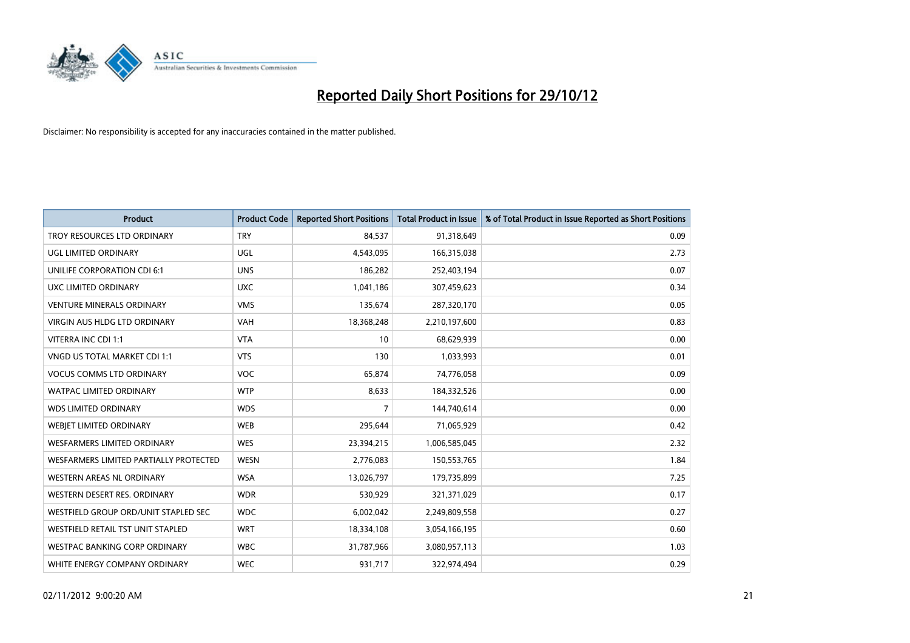

| <b>Product</b>                         | <b>Product Code</b> | <b>Reported Short Positions</b> | <b>Total Product in Issue</b> | % of Total Product in Issue Reported as Short Positions |
|----------------------------------------|---------------------|---------------------------------|-------------------------------|---------------------------------------------------------|
| TROY RESOURCES LTD ORDINARY            | <b>TRY</b>          | 84,537                          | 91,318,649                    | 0.09                                                    |
| UGL LIMITED ORDINARY                   | UGL                 | 4,543,095                       | 166,315,038                   | 2.73                                                    |
| <b>UNILIFE CORPORATION CDI 6:1</b>     | <b>UNS</b>          | 186,282                         | 252,403,194                   | 0.07                                                    |
| UXC LIMITED ORDINARY                   | <b>UXC</b>          | 1,041,186                       | 307,459,623                   | 0.34                                                    |
| <b>VENTURE MINERALS ORDINARY</b>       | <b>VMS</b>          | 135,674                         | 287,320,170                   | 0.05                                                    |
| <b>VIRGIN AUS HLDG LTD ORDINARY</b>    | <b>VAH</b>          | 18,368,248                      | 2,210,197,600                 | 0.83                                                    |
| VITERRA INC CDI 1:1                    | <b>VTA</b>          | 10                              | 68,629,939                    | 0.00                                                    |
| VNGD US TOTAL MARKET CDI 1:1           | <b>VTS</b>          | 130                             | 1,033,993                     | 0.01                                                    |
| <b>VOCUS COMMS LTD ORDINARY</b>        | <b>VOC</b>          | 65,874                          | 74,776,058                    | 0.09                                                    |
| <b>WATPAC LIMITED ORDINARY</b>         | <b>WTP</b>          | 8,633                           | 184,332,526                   | 0.00                                                    |
| <b>WDS LIMITED ORDINARY</b>            | <b>WDS</b>          | 7                               | 144,740,614                   | 0.00                                                    |
| <b>WEBIET LIMITED ORDINARY</b>         | <b>WEB</b>          | 295,644                         | 71,065,929                    | 0.42                                                    |
| <b>WESFARMERS LIMITED ORDINARY</b>     | <b>WES</b>          | 23,394,215                      | 1,006,585,045                 | 2.32                                                    |
| WESFARMERS LIMITED PARTIALLY PROTECTED | <b>WESN</b>         | 2,776,083                       | 150,553,765                   | 1.84                                                    |
| <b>WESTERN AREAS NL ORDINARY</b>       | <b>WSA</b>          | 13,026,797                      | 179,735,899                   | 7.25                                                    |
| WESTERN DESERT RES. ORDINARY           | <b>WDR</b>          | 530,929                         | 321,371,029                   | 0.17                                                    |
| WESTFIELD GROUP ORD/UNIT STAPLED SEC   | <b>WDC</b>          | 6,002,042                       | 2,249,809,558                 | 0.27                                                    |
| WESTFIELD RETAIL TST UNIT STAPLED      | <b>WRT</b>          | 18,334,108                      | 3,054,166,195                 | 0.60                                                    |
| <b>WESTPAC BANKING CORP ORDINARY</b>   | <b>WBC</b>          | 31,787,966                      | 3,080,957,113                 | 1.03                                                    |
| WHITE ENERGY COMPANY ORDINARY          | <b>WEC</b>          | 931,717                         | 322,974,494                   | 0.29                                                    |